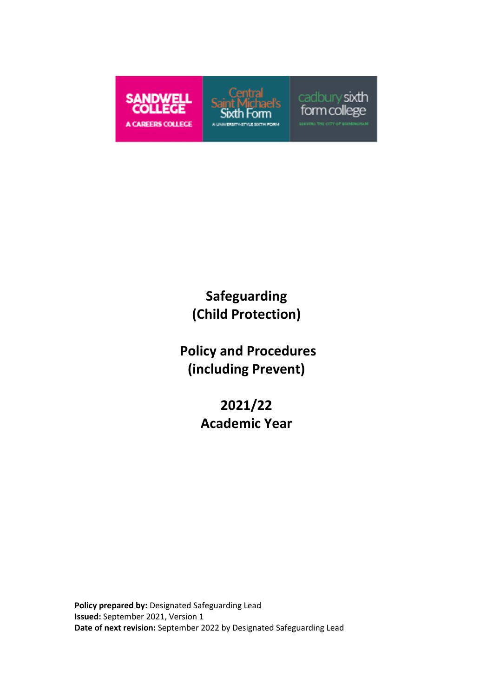

# **Safeguarding (Child Protection)**

**Policy and Procedures (including Prevent)**

> **2021/22 Academic Year**

**Policy prepared by:** Designated Safeguarding Lead **Issued:** September 2021, Version 1 **Date of next revision:** September 2022 by Designated Safeguarding Lead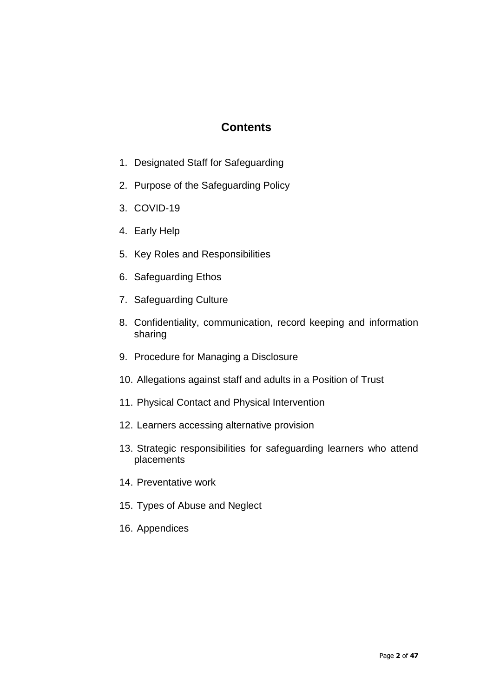### **Contents**

- 1. Designated Staff for Safeguarding
- 2. Purpose of the Safeguarding Policy
- 3. COVID-19
- 4. Early Help
- 5. Key Roles and Responsibilities
- 6. Safeguarding Ethos
- 7. Safeguarding Culture
- 8. Confidentiality, communication, record keeping and information sharing
- 9. Procedure for Managing a Disclosure
- 10. Allegations against staff and adults in a Position of Trust
- 11. Physical Contact and Physical Intervention
- 12. Learners accessing alternative provision
- 13. Strategic responsibilities for safeguarding learners who attend placements
- 14. Preventative work
- 15. Types of Abuse and Neglect
- 16. Appendices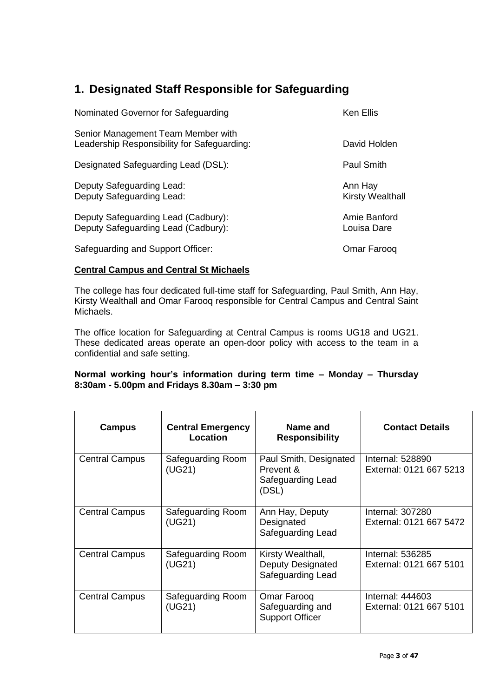## **1. Designated Staff Responsible for Safeguarding**

| Nominated Governor for Safeguarding                                               | <b>Ken Ellis</b>                   |
|-----------------------------------------------------------------------------------|------------------------------------|
| Senior Management Team Member with<br>Leadership Responsibility for Safeguarding: | David Holden                       |
| Designated Safeguarding Lead (DSL):                                               | <b>Paul Smith</b>                  |
| Deputy Safeguarding Lead:<br>Deputy Safeguarding Lead:                            | Ann Hay<br><b>Kirsty Wealthall</b> |
| Deputy Safeguarding Lead (Cadbury):<br>Deputy Safeguarding Lead (Cadbury):        | Amie Banford<br>Louisa Dare        |
| Safeguarding and Support Officer:                                                 | Omar Faroog                        |

#### **Central Campus and Central St Michaels**

The college has four dedicated full-time staff for Safeguarding, Paul Smith, Ann Hay, Kirsty Wealthall and Omar Farooq responsible for Central Campus and Central Saint Michaels.

The office location for Safeguarding at Central Campus is rooms UG18 and UG21. These dedicated areas operate an open-door policy with access to the team in a confidential and safe setting.

#### **Normal working hour's information during term time – Monday – Thursday 8:30am - 5.00pm and Fridays 8.30am – 3:30 pm**

| Campus                | <b>Central Emergency</b><br>Location | Name and<br><b>Responsibility</b>                                 | <b>Contact Details</b>                             |
|-----------------------|--------------------------------------|-------------------------------------------------------------------|----------------------------------------------------|
| <b>Central Campus</b> | Safeguarding Room<br>(UG21)          | Paul Smith, Designated<br>Prevent &<br>Safeguarding Lead<br>(DSL) | Internal: 528890<br>External: 0121 667 5213        |
| <b>Central Campus</b> | Safeguarding Room<br>(UG21)          | Ann Hay, Deputy<br>Designated<br>Safeguarding Lead                | <b>Internal: 307280</b><br>External: 0121 667 5472 |
| <b>Central Campus</b> | Safeguarding Room<br>(UG21)          | Kirsty Wealthall,<br>Deputy Designated<br>Safeguarding Lead       | Internal: 536285<br>External: 0121 667 5101        |
| <b>Central Campus</b> | Safeguarding Room<br>(UG21)          | Omar Farooq<br>Safeguarding and<br><b>Support Officer</b>         | Internal: 444603<br>External: 0121 667 5101        |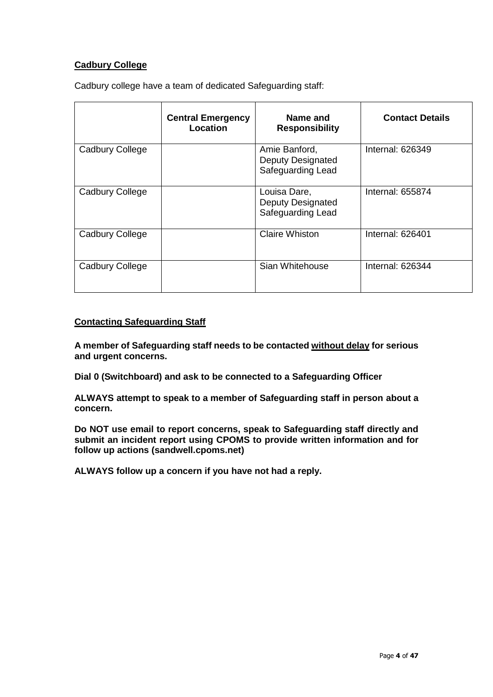### **Cadbury College**

Cadbury college have a team of dedicated Safeguarding staff:

|                 | <b>Central Emergency</b><br>Location | Name and<br><b>Responsibility</b>                              | <b>Contact Details</b>  |
|-----------------|--------------------------------------|----------------------------------------------------------------|-------------------------|
| Cadbury College |                                      | Amie Banford,<br><b>Deputy Designated</b><br>Safeguarding Lead | <b>Internal: 626349</b> |
| Cadbury College |                                      | Louisa Dare,<br><b>Deputy Designated</b><br>Safeguarding Lead  | Internal: 655874        |
| Cadbury College |                                      | <b>Claire Whiston</b>                                          | Internal: 626401        |
| Cadbury College |                                      | Sian Whitehouse                                                | <b>Internal: 626344</b> |

#### **Contacting Safeguarding Staff**

**A member of Safeguarding staff needs to be contacted without delay for serious and urgent concerns.**

**Dial 0 (Switchboard) and ask to be connected to a Safeguarding Officer**

**ALWAYS attempt to speak to a member of Safeguarding staff in person about a concern.**

**Do NOT use email to report concerns, speak to Safeguarding staff directly and submit an incident report using CPOMS to provide written information and for follow up actions (sandwell.cpoms.net)**

**ALWAYS follow up a concern if you have not had a reply.**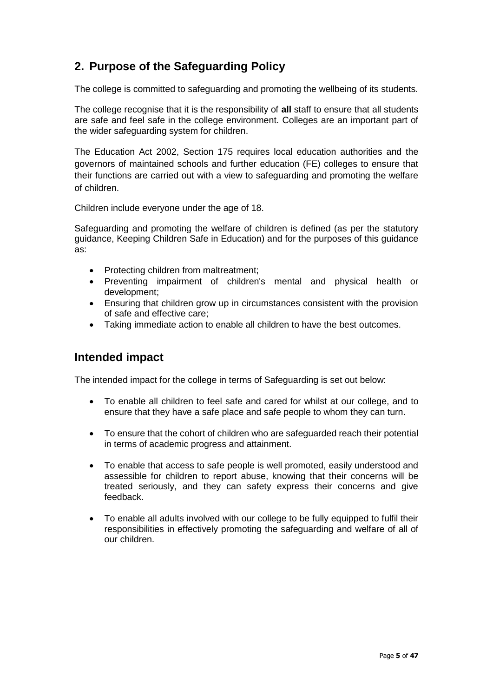## **2. Purpose of the Safeguarding Policy**

The college is committed to safeguarding and promoting the wellbeing of its students.

The college recognise that it is the responsibility of **all** staff to ensure that all students are safe and feel safe in the college environment. Colleges are an important part of the wider safeguarding system for children.

[The Education Act 2002,](http://www.legislation.gov.uk/ukpga/2002/32/contents) [Section 175 r](http://www.opsi.gov.uk/ACTS/acts2002/ukpga_20020032_en_15)equires local education authorities and the governors of maintained schools and further education (FE) colleges to ensure that their functions are carried out with a view to safeguarding and promoting the welfare of children.

Children include everyone under the age of 18.

Safeguarding and promoting the welfare of children is defined (as per the statutory guidance, Keeping Children Safe in Education) and for the purposes of this guidance as:

- Protecting children from maltreatment;
- Preventing impairment of children's mental and physical health or development;
- Ensuring that children grow up in circumstances consistent with the provision of safe and effective care;
- Taking immediate action to enable all children to have the best outcomes.

### **Intended impact**

The intended impact for the college in terms of Safeguarding is set out below:

- To enable all children to feel safe and cared for whilst at our college, and to ensure that they have a safe place and safe people to whom they can turn.
- To ensure that the cohort of children who are safeguarded reach their potential in terms of academic progress and attainment.
- To enable that access to safe people is well promoted, easily understood and assessible for children to report abuse, knowing that their concerns will be treated seriously, and they can safety express their concerns and give feedback.
- To enable all adults involved with our college to be fully equipped to fulfil their responsibilities in effectively promoting the safeguarding and welfare of all of our children.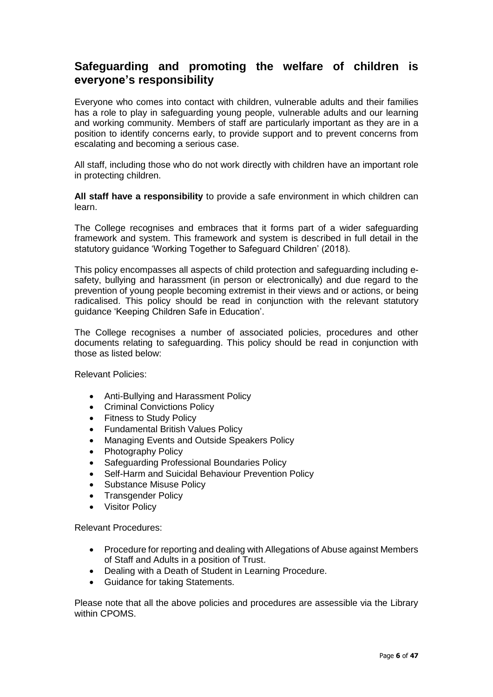### **Safeguarding and promoting the welfare of children is everyone's responsibility**

Everyone who comes into contact with children, vulnerable adults and their families has a role to play in safeguarding young people, vulnerable adults and our learning and working community. Members of staff are particularly important as they are in a position to identify concerns early, to provide support and to prevent concerns from escalating and becoming a serious case.

All staff, including those who do not work directly with children have an important role in protecting children.

**All staff have a responsibility** to provide a safe environment in which children can learn.

The College recognises and embraces that it forms part of a wider safeguarding framework and system. This framework and system is described in full detail in the statutory guidance 'Working Together to Safeguard Children' (2018).

This policy encompasses all aspects of child protection and safeguarding including esafety, bullying and harassment (in person or electronically) and due regard to the prevention of young people becoming extremist in their views and or actions, or being radicalised. This policy should be read in conjunction with the relevant statutory guidance 'Keeping Children Safe in Education'.

The College recognises a number of associated policies, procedures and other documents relating to safeguarding. This policy should be read in conjunction with those as listed below:

Relevant Policies:

- Anti-Bullying and Harassment Policy
- Criminal Convictions Policy
- Fitness to Study Policy
- Fundamental British Values Policy
- Managing Events and Outside Speakers Policy
- Photography Policy
- Safeguarding Professional Boundaries Policy
- Self-Harm and Suicidal Behaviour Prevention Policy
- Substance Misuse Policy
- Transgender Policy
- **Visitor Policy**

Relevant Procedures:

- Procedure for reporting and dealing with Allegations of Abuse against Members of Staff and Adults in a position of Trust.
- Dealing with a Death of Student in Learning Procedure.
- Guidance for taking Statements.

Please note that all the above policies and procedures are assessible via the Library within CPOMS.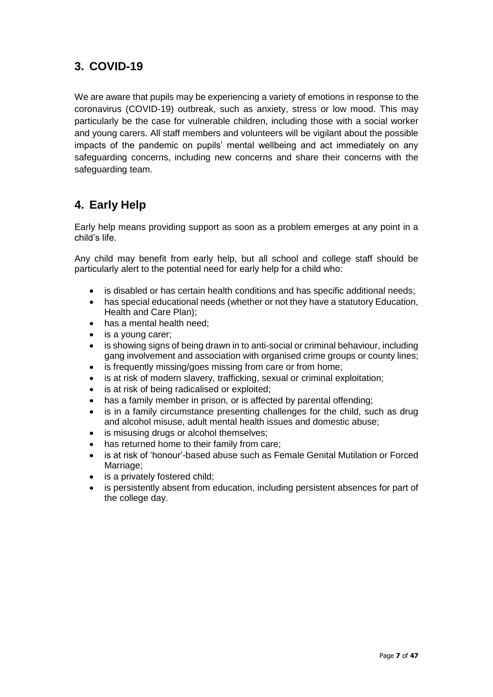## **3. COVID-19**

We are aware that pupils may be experiencing a variety of emotions in response to the coronavirus (COVID-19) outbreak, such as anxiety, stress or low mood. This may particularly be the case for vulnerable children, including those with a social worker and young carers. All staff members and volunteers will be vigilant about the possible impacts of the pandemic on pupils' mental wellbeing and act immediately on any safeguarding concerns, including new concerns and share their concerns with the safeguarding team.

## **4. Early Help**

Early help means providing support as soon as a problem emerges at any point in a child's life.

Any child may benefit from early help, but all school and college staff should be particularly alert to the potential need for early help for a child who:

- is disabled or has certain health conditions and has specific additional needs;
- has special educational needs (whether or not they have a statutory Education, Health and Care Plan);
- has a mental health need:
- is a young carer;
- is showing signs of being drawn in to anti-social or criminal behaviour, including gang involvement and association with organised crime groups or county lines;
- is frequently missing/goes missing from care or from home;
- is at risk of modern slavery, trafficking, sexual or criminal exploitation;
- is at risk of being radicalised or exploited;
- has a family member in prison, or is affected by parental offending;
- is in a family circumstance presenting challenges for the child, such as drug and alcohol misuse, adult mental health issues and domestic abuse;
- is misusing drugs or alcohol themselves;
- has returned home to their family from care;
- is at risk of 'honour'-based abuse such as Female Genital Mutilation or Forced Marriage;
- is a privately fostered child;
- is persistently absent from education, including persistent absences for part of the college day.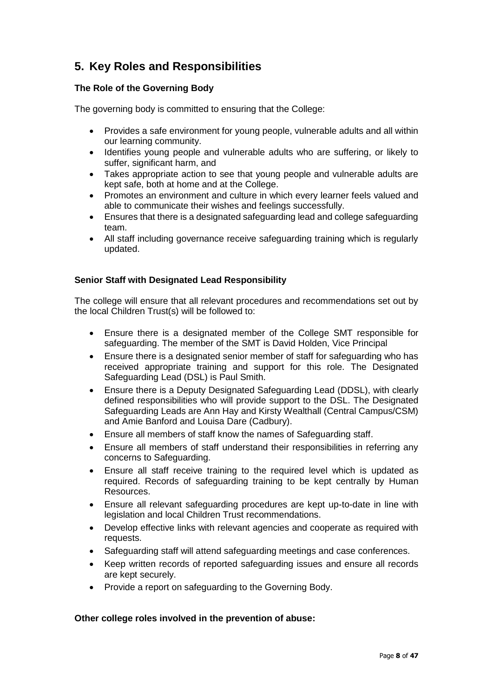## **5. Key Roles and Responsibilities**

### **The Role of the Governing Body**

The governing body is committed to ensuring that the College:

- Provides a safe environment for young people, vulnerable adults and all within our learning community.
- Identifies young people and vulnerable adults who are suffering, or likely to suffer, significant harm, and
- Takes appropriate action to see that young people and vulnerable adults are kept safe, both at home and at the College.
- Promotes an environment and culture in which every learner feels valued and able to communicate their wishes and feelings successfully.
- Ensures that there is a designated safeguarding lead and college safeguarding team.
- All staff including governance receive safeguarding training which is regularly updated.

#### **Senior Staff with Designated Lead Responsibility**

The college will ensure that all relevant procedures and recommendations set out by the local Children Trust(s) will be followed to:

- Ensure there is a designated member of the College SMT responsible for safeguarding. The member of the SMT is David Holden, Vice Principal
- Ensure there is a designated senior member of staff for safeguarding who has received appropriate training and support for this role. The Designated Safeguarding Lead (DSL) is Paul Smith.
- Ensure there is a Deputy Designated Safeguarding Lead (DDSL), with clearly defined responsibilities who will provide support to the DSL. The Designated Safeguarding Leads are Ann Hay and Kirsty Wealthall (Central Campus/CSM) and Amie Banford and Louisa Dare (Cadbury).
- Ensure all members of staff know the names of Safeguarding staff.
- Ensure all members of staff understand their responsibilities in referring any concerns to Safeguarding.
- Ensure all staff receive training to the required level which is updated as required. Records of safeguarding training to be kept centrally by Human Resources.
- Ensure all relevant safeguarding procedures are kept up-to-date in line with legislation and local Children Trust recommendations.
- Develop effective links with relevant agencies and cooperate as required with requests.
- Safeguarding staff will attend safeguarding meetings and case conferences.
- Keep written records of reported safeguarding issues and ensure all records are kept securely.
- Provide a report on safeguarding to the Governing Body.

#### **Other college roles involved in the prevention of abuse:**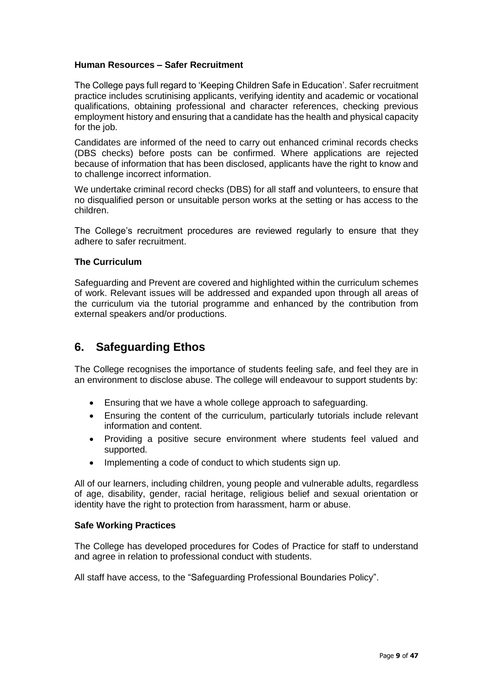#### **Human Resources – Safer Recruitment**

The College pays full regard to 'Keeping Children Safe in Education'. Safer recruitment practice includes scrutinising applicants, verifying identity and academic or vocational qualifications, obtaining professional and character references, checking previous employment history and ensuring that a candidate has the health and physical capacity for the job.

Candidates are informed of the need to carry out enhanced criminal records checks (DBS checks) before posts can be confirmed. Where applications are rejected because of information that has been disclosed, applicants have the right to know and to challenge incorrect information.

We undertake criminal record checks (DBS) for all staff and volunteers, to ensure that no disqualified person or unsuitable person works at the setting or has access to the children.

The College's recruitment procedures are reviewed regularly to ensure that they adhere to safer recruitment.

#### **The Curriculum**

Safeguarding and Prevent are covered and highlighted within the curriculum schemes of work. Relevant issues will be addressed and expanded upon through all areas of the curriculum via the tutorial programme and enhanced by the contribution from external speakers and/or productions.

### **6. Safeguarding Ethos**

The College recognises the importance of students feeling safe, and feel they are in an environment to disclose abuse. The college will endeavour to support students by:

- Ensuring that we have a whole college approach to safeguarding.
- Ensuring the content of the curriculum, particularly tutorials include relevant information and content.
- Providing a positive secure environment where students feel valued and supported.
- Implementing a code of conduct to which students sign up.

All of our learners, including children, young people and vulnerable adults, regardless of age, disability, gender, racial heritage, religious belief and sexual orientation or identity have the right to protection from harassment, harm or abuse.

#### **Safe Working Practices**

The College has developed procedures for Codes of Practice for staff to understand and agree in relation to professional conduct with students.

All staff have access, to the "Safeguarding Professional Boundaries Policy".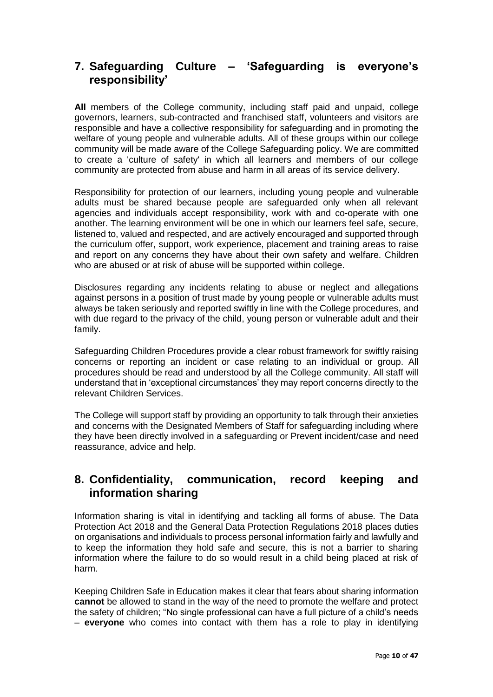### **7. Safeguarding Culture – 'Safeguarding is everyone's responsibility'**

**All** members of the College community, including staff paid and unpaid, college governors, learners, sub-contracted and franchised staff, volunteers and visitors are responsible and have a collective responsibility for safeguarding and in promoting the welfare of young people and vulnerable adults. All of these groups within our college community will be made aware of the College Safeguarding policy. We are committed to create a 'culture of safety' in which all learners and members of our college community are protected from abuse and harm in all areas of its service delivery.

Responsibility for protection of our learners, including young people and vulnerable adults must be shared because people are safeguarded only when all relevant agencies and individuals accept responsibility, work with and co-operate with one another. The learning environment will be one in which our learners feel safe, secure, listened to, valued and respected, and are actively encouraged and supported through the curriculum offer, support, work experience, placement and training areas to raise and report on any concerns they have about their own safety and welfare. Children who are abused or at risk of abuse will be supported within college.

Disclosures regarding any incidents relating to abuse or neglect and allegations against persons in a position of trust made by young people or vulnerable adults must always be taken seriously and reported swiftly in line with the College procedures, and with due regard to the privacy of the child, young person or vulnerable adult and their family.

Safeguarding Children Procedures provide a clear robust framework for swiftly raising concerns or reporting an incident or case relating to an individual or group. All procedures should be read and understood by all the College community. All staff will understand that in 'exceptional circumstances' they may report concerns directly to the relevant Children Services.

The College will support staff by providing an opportunity to talk through their anxieties and concerns with the Designated Members of Staff for safeguarding including where they have been directly involved in a safeguarding or Prevent incident/case and need reassurance, advice and help.

### **8. Confidentiality, communication, record keeping and information sharing**

Information sharing is vital in identifying and tackling all forms of abuse. The Data Protection Act 2018 and the General Data Protection Regulations 2018 places duties on organisations and individuals to process personal information fairly and lawfully and to keep the information they hold safe and secure, this is not a barrier to sharing information where the failure to do so would result in a child being placed at risk of harm.

Keeping Children Safe in Education makes it clear that fears about sharing information **cannot** be allowed to stand in the way of the need to promote the welfare and protect the safety of children; "No single professional can have a full picture of a child's needs – **everyone** who comes into contact with them has a role to play in identifying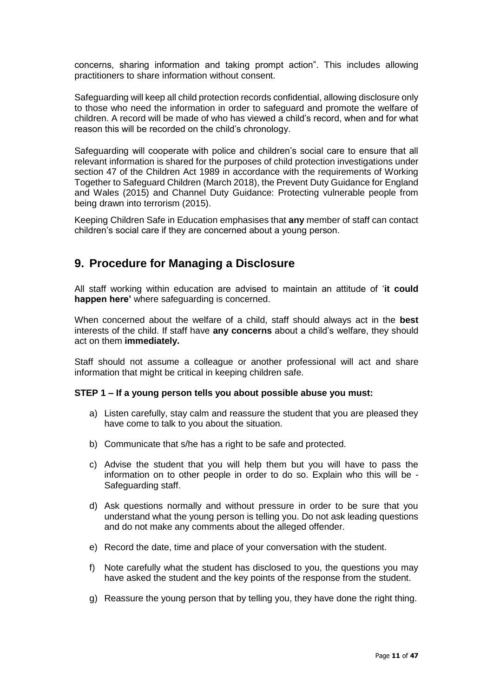concerns, sharing information and taking prompt action". This includes allowing practitioners to share information without consent.

Safeguarding will keep all child protection records confidential, allowing disclosure only to those who need the information in order to safeguard and promote the welfare of children. A record will be made of who has viewed a child's record, when and for what reason this will be recorded on the child's chronology.

Safeguarding will cooperate with police and children's social care to ensure that all relevant information is shared for the purposes of child protection investigations under section 47 of the Children Act 1989 in accordance with the requirements of Working Together to Safeguard Children (March 2018), the Prevent Duty Guidance for England and Wales (2015) and Channel Duty Guidance: Protecting vulnerable people from being drawn into terrorism (2015).

Keeping Children Safe in Education emphasises that **any** member of staff can contact children's social care if they are concerned about a young person.

### **9. Procedure for Managing a Disclosure**

All staff working within education are advised to maintain an attitude of '**it could happen here'** where safeguarding is concerned.

When concerned about the welfare of a child, staff should always act in the **best**  interests of the child. If staff have **any concerns** about a child's welfare, they should act on them **immediately.**

Staff should not assume a colleague or another professional will act and share information that might be critical in keeping children safe.

#### **STEP 1 – If a young person tells you about possible abuse you must:**

- a) Listen carefully, stay calm and reassure the student that you are pleased they have come to talk to you about the situation.
- b) Communicate that s/he has a right to be safe and protected.
- c) Advise the student that you will help them but you will have to pass the information on to other people in order to do so. Explain who this will be - Safeguarding staff.
- d) Ask questions normally and without pressure in order to be sure that you understand what the young person is telling you. Do not ask leading questions and do not make any comments about the alleged offender.
- e) Record the date, time and place of your conversation with the student.
- f) Note carefully what the student has disclosed to you, the questions you may have asked the student and the key points of the response from the student.
- g) Reassure the young person that by telling you, they have done the right thing.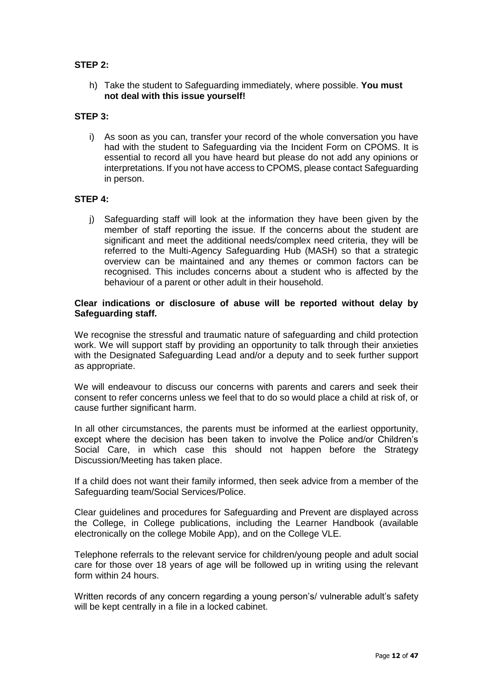#### **STEP 2:**

h) Take the student to Safeguarding immediately, where possible. **You must not deal with this issue yourself!**

#### **STEP 3:**

i) As soon as you can, transfer your record of the whole conversation you have had with the student to Safeguarding via the Incident Form on CPOMS. It is essential to record all you have heard but please do not add any opinions or interpretations. If you not have access to CPOMS, please contact Safeguarding in person.

#### **STEP 4:**

j) Safeguarding staff will look at the information they have been given by the member of staff reporting the issue. If the concerns about the student are significant and meet the additional needs/complex need criteria, they will be referred to the Multi-Agency Safeguarding Hub (MASH) so that a strategic overview can be maintained and any themes or common factors can be recognised. This includes concerns about a student who is affected by the behaviour of a parent or other adult in their household.

#### **Clear indications or disclosure of abuse will be reported without delay by Safeguarding staff.**

We recognise the stressful and traumatic nature of safeguarding and child protection work. We will support staff by providing an opportunity to talk through their anxieties with the Designated Safeguarding Lead and/or a deputy and to seek further support as appropriate.

We will endeavour to discuss our concerns with parents and carers and seek their consent to refer concerns unless we feel that to do so would place a child at risk of, or cause further significant harm.

In all other circumstances, the parents must be informed at the earliest opportunity, except where the decision has been taken to involve the Police and/or Children's Social Care, in which case this should not happen before the Strategy Discussion/Meeting has taken place.

If a child does not want their family informed, then seek advice from a member of the Safeguarding team/Social Services/Police.

Clear guidelines and procedures for Safeguarding and Prevent are displayed across the College, in College publications, including the Learner Handbook (available electronically on the college Mobile App), and on the College VLE.

Telephone referrals to the relevant service for children/young people and adult social care for those over 18 years of age will be followed up in writing using the relevant form within 24 hours.

Written records of any concern regarding a young person's/ vulnerable adult's safety will be kept centrally in a file in a locked cabinet.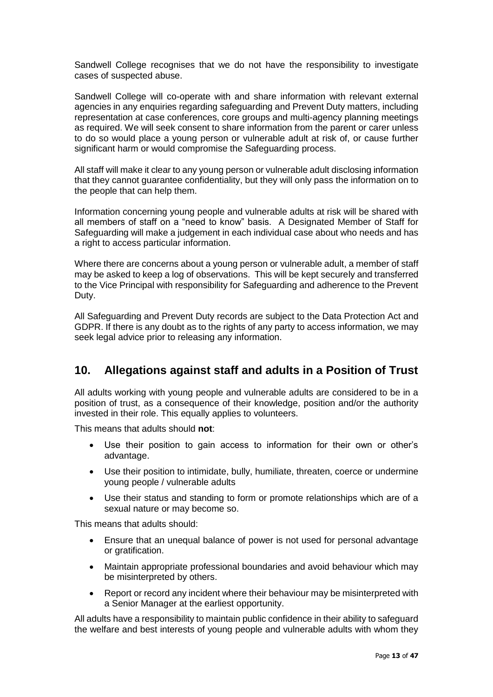Sandwell College recognises that we do not have the responsibility to investigate cases of suspected abuse.

Sandwell College will co-operate with and share information with relevant external agencies in any enquiries regarding safeguarding and Prevent Duty matters, including representation at case conferences, core groups and multi-agency planning meetings as required. We will seek consent to share information from the parent or carer unless to do so would place a young person or vulnerable adult at risk of, or cause further significant harm or would compromise the Safeguarding process.

All staff will make it clear to any young person or vulnerable adult disclosing information that they cannot guarantee confidentiality, but they will only pass the information on to the people that can help them.

Information concerning young people and vulnerable adults at risk will be shared with all members of staff on a "need to know" basis. A Designated Member of Staff for Safeguarding will make a judgement in each individual case about who needs and has a right to access particular information.

Where there are concerns about a young person or vulnerable adult, a member of staff may be asked to keep a log of observations. This will be kept securely and transferred to the Vice Principal with responsibility for Safeguarding and adherence to the Prevent Duty.

All Safeguarding and Prevent Duty records are subject to the Data Protection Act and GDPR. If there is any doubt as to the rights of any party to access information, we may seek legal advice prior to releasing any information.

### **10. Allegations against staff and adults in a Position of Trust**

All adults working with young people and vulnerable adults are considered to be in a position of trust, as a consequence of their knowledge, position and/or the authority invested in their role. This equally applies to volunteers.

This means that adults should **not**:

- Use their position to gain access to information for their own or other's advantage.
- Use their position to intimidate, bully, humiliate, threaten, coerce or undermine young people / vulnerable adults
- Use their status and standing to form or promote relationships which are of a sexual nature or may become so.

This means that adults should:

- Ensure that an unequal balance of power is not used for personal advantage or gratification.
- Maintain appropriate professional boundaries and avoid behaviour which may be misinterpreted by others.
- Report or record any incident where their behaviour may be misinterpreted with a Senior Manager at the earliest opportunity.

All adults have a responsibility to maintain public confidence in their ability to safeguard the welfare and best interests of young people and vulnerable adults with whom they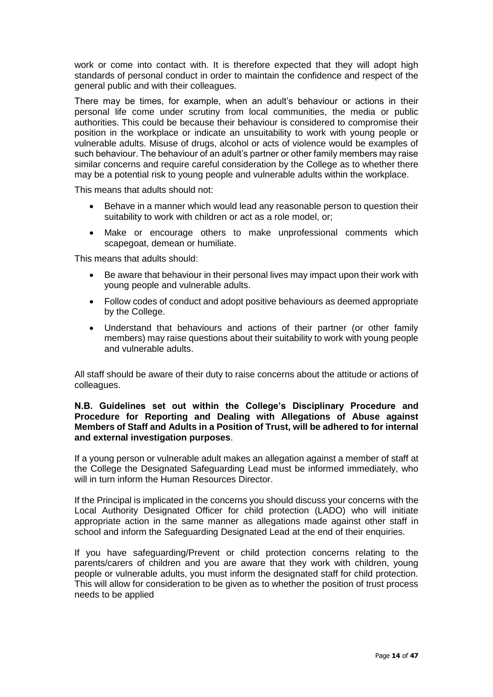work or come into contact with. It is therefore expected that they will adopt high standards of personal conduct in order to maintain the confidence and respect of the general public and with their colleagues.

There may be times, for example, when an adult's behaviour or actions in their personal life come under scrutiny from local communities, the media or public authorities. This could be because their behaviour is considered to compromise their position in the workplace or indicate an unsuitability to work with young people or vulnerable adults. Misuse of drugs, alcohol or acts of violence would be examples of such behaviour. The behaviour of an adult's partner or other family members may raise similar concerns and require careful consideration by the College as to whether there may be a potential risk to young people and vulnerable adults within the workplace.

This means that adults should not:

- Behave in a manner which would lead any reasonable person to question their suitability to work with children or act as a role model, or;
- Make or encourage others to make unprofessional comments which scapegoat, demean or humiliate.

This means that adults should:

- Be aware that behaviour in their personal lives may impact upon their work with young people and vulnerable adults.
- Follow codes of conduct and adopt positive behaviours as deemed appropriate by the College.
- Understand that behaviours and actions of their partner (or other family members) may raise questions about their suitability to work with young people and vulnerable adults.

All staff should be aware of their duty to raise concerns about the attitude or actions of colleagues.

#### **N.B. Guidelines set out within the College's Disciplinary Procedure and Procedure for Reporting and Dealing with Allegations of Abuse against Members of Staff and Adults in a Position of Trust, will be adhered to for internal and external investigation purposes**.

If a young person or vulnerable adult makes an allegation against a member of staff at the College the Designated Safeguarding Lead must be informed immediately, who will in turn inform the Human Resources Director.

If the Principal is implicated in the concerns you should discuss your concerns with the Local Authority Designated Officer for child protection (LADO) who will initiate appropriate action in the same manner as allegations made against other staff in school and inform the Safeguarding Designated Lead at the end of their enquiries.

If you have safeguarding/Prevent or child protection concerns relating to the parents/carers of children and you are aware that they work with children, young people or vulnerable adults, you must inform the designated staff for child protection. This will allow for consideration to be given as to whether the position of trust process needs to be applied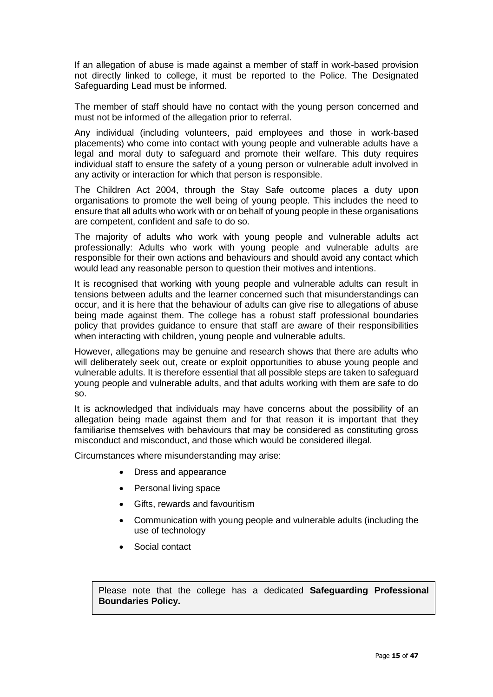If an allegation of abuse is made against a member of staff in work-based provision not directly linked to college, it must be reported to the Police. The Designated Safeguarding Lead must be informed.

The member of staff should have no contact with the young person concerned and must not be informed of the allegation prior to referral.

Any individual (including volunteers, paid employees and those in work-based placements) who come into contact with young people and vulnerable adults have a legal and moral duty to safeguard and promote their welfare. This duty requires individual staff to ensure the safety of a young person or vulnerable adult involved in any activity or interaction for which that person is responsible.

The Children Act 2004, through the Stay Safe outcome places a duty upon organisations to promote the well being of young people. This includes the need to ensure that all adults who work with or on behalf of young people in these organisations are competent, confident and safe to do so.

The majority of adults who work with young people and vulnerable adults act professionally: Adults who work with young people and vulnerable adults are responsible for their own actions and behaviours and should avoid any contact which would lead any reasonable person to question their motives and intentions.

It is recognised that working with young people and vulnerable adults can result in tensions between adults and the learner concerned such that misunderstandings can occur, and it is here that the behaviour of adults can give rise to allegations of abuse being made against them. The college has a robust staff professional boundaries policy that provides guidance to ensure that staff are aware of their responsibilities when interacting with children, young people and vulnerable adults.

However, allegations may be genuine and research shows that there are adults who will deliberately seek out, create or exploit opportunities to abuse young people and vulnerable adults. It is therefore essential that all possible steps are taken to safeguard young people and vulnerable adults, and that adults working with them are safe to do so.

It is acknowledged that individuals may have concerns about the possibility of an allegation being made against them and for that reason it is important that they familiarise themselves with behaviours that may be considered as constituting gross misconduct and misconduct, and those which would be considered illegal.

Circumstances where misunderstanding may arise:

- Dress and appearance
- Personal living space
- Gifts, rewards and favouritism
- Communication with young people and vulnerable adults (including the use of technology
- Social contact

Please note that the college has a dedicated **Safeguarding Professional Boundaries Policy.**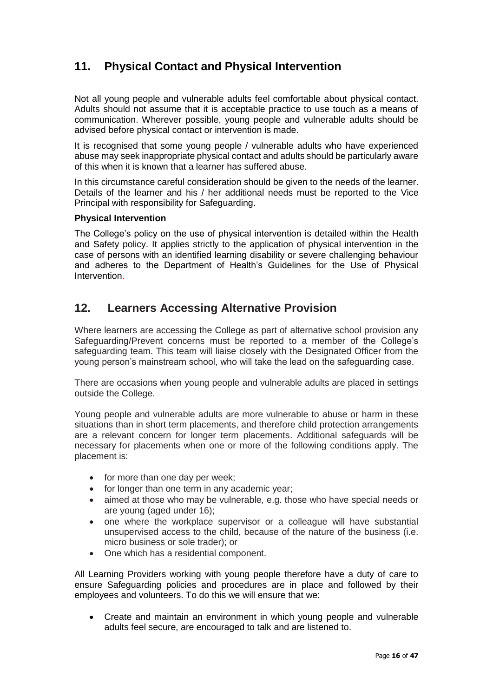## **11. Physical Contact and Physical Intervention**

Not all young people and vulnerable adults feel comfortable about physical contact. Adults should not assume that it is acceptable practice to use touch as a means of communication. Wherever possible, young people and vulnerable adults should be advised before physical contact or intervention is made.

It is recognised that some young people / vulnerable adults who have experienced abuse may seek inappropriate physical contact and adults should be particularly aware of this when it is known that a learner has suffered abuse.

In this circumstance careful consideration should be given to the needs of the learner. Details of the learner and his / her additional needs must be reported to the Vice Principal with responsibility for Safeguarding.

#### **Physical Intervention**

The College's policy on the use of physical intervention is detailed within the Health and Safety policy. It applies strictly to the application of physical intervention in the case of persons with an identified learning disability or severe challenging behaviour and adheres to the Department of Health's Guidelines for the Use of Physical Intervention.

### **12. Learners Accessing Alternative Provision**

Where learners are accessing the College as part of alternative school provision any Safeguarding/Prevent concerns must be reported to a member of the College's safeguarding team. This team will liaise closely with the Designated Officer from the young person's mainstream school, who will take the lead on the safeguarding case.

There are occasions when young people and vulnerable adults are placed in settings outside the College.

Young people and vulnerable adults are more vulnerable to abuse or harm in these situations than in short term placements, and therefore child protection arrangements are a relevant concern for longer term placements. Additional safeguards will be necessary for placements when one or more of the following conditions apply. The placement is:

- for more than one day per week;
- for longer than one term in any academic year;
- aimed at those who may be vulnerable, e.g. those who have special needs or are young (aged under 16);
- one where the workplace supervisor or a colleague will have substantial unsupervised access to the child, because of the nature of the business (i.e. micro business or sole trader); or
- One which has a residential component.

All Learning Providers working with young people therefore have a duty of care to ensure Safeguarding policies and procedures are in place and followed by their employees and volunteers. To do this we will ensure that we:

• Create and maintain an environment in which young people and vulnerable adults feel secure, are encouraged to talk and are listened to.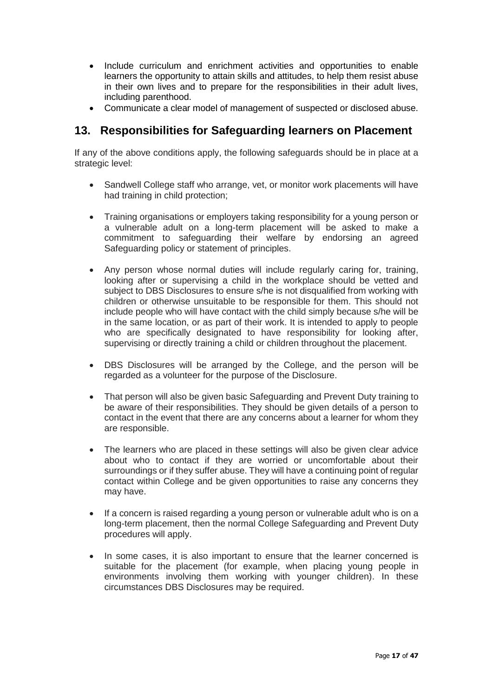- Include curriculum and enrichment activities and opportunities to enable learners the opportunity to attain skills and attitudes, to help them resist abuse in their own lives and to prepare for the responsibilities in their adult lives, including parenthood.
- Communicate a clear model of management of suspected or disclosed abuse.

### **13. Responsibilities for Safeguarding learners on Placement**

If any of the above conditions apply, the following safeguards should be in place at a strategic level:

- Sandwell College staff who arrange, vet, or monitor work placements will have had training in child protection;
- Training organisations or employers taking responsibility for a young person or a vulnerable adult on a long-term placement will be asked to make a commitment to safeguarding their welfare by endorsing an agreed Safeguarding policy or statement of principles.
- Any person whose normal duties will include regularly caring for, training, looking after or supervising a child in the workplace should be vetted and subject to DBS Disclosures to ensure s/he is not disqualified from working with children or otherwise unsuitable to be responsible for them. This should not include people who will have contact with the child simply because s/he will be in the same location, or as part of their work. It is intended to apply to people who are specifically designated to have responsibility for looking after, supervising or directly training a child or children throughout the placement.
- DBS Disclosures will be arranged by the College, and the person will be regarded as a volunteer for the purpose of the Disclosure.
- That person will also be given basic Safeguarding and Prevent Duty training to be aware of their responsibilities. They should be given details of a person to contact in the event that there are any concerns about a learner for whom they are responsible.
- The learners who are placed in these settings will also be given clear advice about who to contact if they are worried or uncomfortable about their surroundings or if they suffer abuse. They will have a continuing point of regular contact within College and be given opportunities to raise any concerns they may have.
- If a concern is raised regarding a young person or vulnerable adult who is on a long-term placement, then the normal College Safeguarding and Prevent Duty procedures will apply.
- In some cases, it is also important to ensure that the learner concerned is suitable for the placement (for example, when placing young people in environments involving them working with younger children). In these circumstances DBS Disclosures may be required.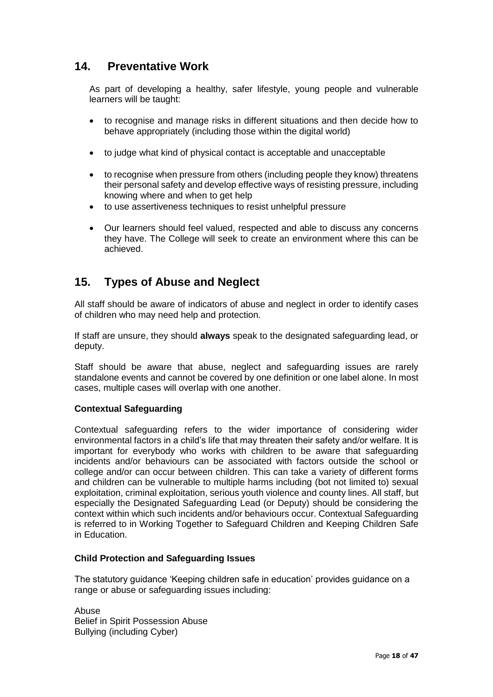### **14. Preventative Work**

As part of developing a healthy, safer lifestyle, young people and vulnerable learners will be taught:

- to recognise and manage risks in different situations and then decide how to behave appropriately (including those within the digital world)
- to judge what kind of physical contact is acceptable and unacceptable
- to recognise when pressure from others (including people they know) threatens their personal safety and develop effective ways of resisting pressure, including knowing where and when to get help
- to use assertiveness techniques to resist unhelpful pressure
- Our learners should feel valued, respected and able to discuss any concerns they have. The College will seek to create an environment where this can be achieved.

### **15. Types of Abuse and Neglect**

All staff should be aware of indicators of abuse and neglect in order to identify cases of children who may need help and protection.

If staff are unsure, they should **always** speak to the designated safeguarding lead, or deputy.

Staff should be aware that abuse, neglect and safeguarding issues are rarely standalone events and cannot be covered by one definition or one label alone. In most cases, multiple cases will overlap with one another.

#### **Contextual Safeguarding**

Contextual safeguarding refers to the wider importance of considering wider environmental factors in a child's life that may threaten their safety and/or welfare. It is important for everybody who works with children to be aware that safeguarding incidents and/or behaviours can be associated with factors outside the school or college and/or can occur between children. This can take a variety of different forms and children can be vulnerable to multiple harms including (bot not limited to) sexual exploitation, criminal exploitation, serious youth violence and county lines. All staff, but especially the Designated Safeguarding Lead (or Deputy) should be considering the context within which such incidents and/or behaviours occur. Contextual Safeguarding is referred to in Working Together to Safeguard Children and Keeping Children Safe in Education.

#### **Child Protection and Safeguarding Issues**

The statutory guidance 'Keeping children safe in education' provides guidance on a range or abuse or safeguarding issues including:

Abuse Belief in Spirit Possession Abuse Bullying (including Cyber)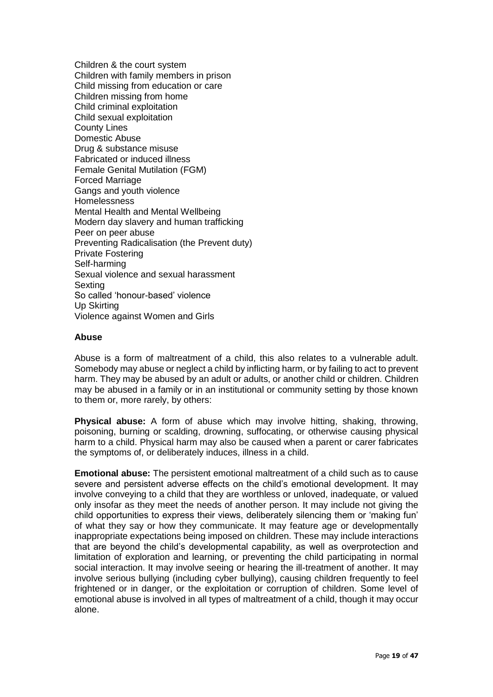Children & the court system Children with family members in prison Child missing from education or care Children missing from home Child criminal exploitation Child sexual exploitation County Lines Domestic Abuse Drug & substance misuse Fabricated or induced illness Female Genital Mutilation (FGM) Forced Marriage Gangs and youth violence **Homelessness** Mental Health and Mental Wellbeing Modern day slavery and human trafficking Peer on peer abuse Preventing Radicalisation (the Prevent duty) Private Fostering Self-harming Sexual violence and sexual harassment Sexting So called 'honour-based' violence Up Skirting Violence against Women and Girls

#### **Abuse**

Abuse is a form of maltreatment of a child, this also relates to a vulnerable adult. Somebody may abuse or neglect a child by inflicting harm, or by failing to act to prevent harm. They may be abused by an adult or adults, or another child or children. Children may be abused in a family or in an institutional or community setting by those known to them or, more rarely, by others:

**Physical abuse:** A form of abuse which may involve hitting, shaking, throwing, poisoning, burning or scalding, drowning, suffocating, or otherwise causing physical harm to a child. Physical harm may also be caused when a parent or carer fabricates the symptoms of, or deliberately induces, illness in a child.

**Emotional abuse:** The persistent emotional maltreatment of a child such as to cause severe and persistent adverse effects on the child's emotional development. It may involve conveying to a child that they are worthless or unloved, inadequate, or valued only insofar as they meet the needs of another person. It may include not giving the child opportunities to express their views, deliberately silencing them or 'making fun' of what they say or how they communicate. It may feature age or developmentally inappropriate expectations being imposed on children. These may include interactions that are beyond the child's developmental capability, as well as overprotection and limitation of exploration and learning, or preventing the child participating in normal social interaction. It may involve seeing or hearing the ill-treatment of another. It may involve serious bullying (including cyber bullying), causing children frequently to feel frightened or in danger, or the exploitation or corruption of children. Some level of emotional abuse is involved in all types of maltreatment of a child, though it may occur alone.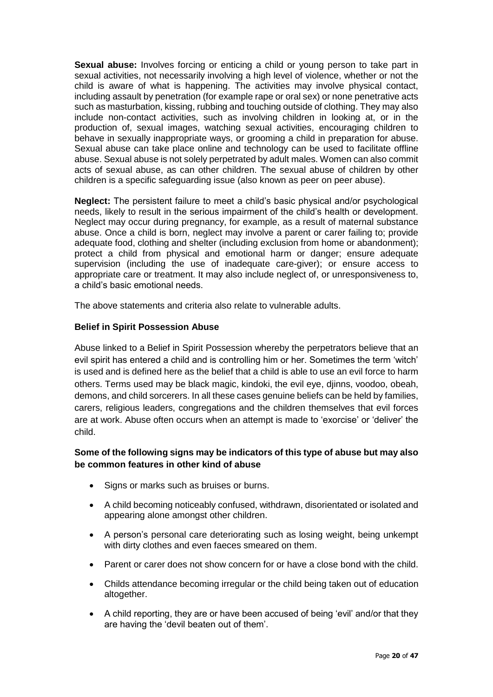**Sexual abuse:** Involves forcing or enticing a child or young person to take part in sexual activities, not necessarily involving a high level of violence, whether or not the child is aware of what is happening. The activities may involve physical contact, including assault by penetration (for example rape or oral sex) or none penetrative acts such as masturbation, kissing, rubbing and touching outside of clothing. They may also include non-contact activities, such as involving children in looking at, or in the production of, sexual images, watching sexual activities, encouraging children to behave in sexually inappropriate ways, or grooming a child in preparation for abuse. Sexual abuse can take place online and technology can be used to facilitate offline abuse. Sexual abuse is not solely perpetrated by adult males. Women can also commit acts of sexual abuse, as can other children. The sexual abuse of children by other children is a specific safeguarding issue (also known as peer on peer abuse).

**Neglect:** The persistent failure to meet a child's basic physical and/or psychological needs, likely to result in the serious impairment of the child's health or development. Neglect may occur during pregnancy, for example, as a result of maternal substance abuse. Once a child is born, neglect may involve a parent or carer failing to; provide adequate food, clothing and shelter (including exclusion from home or abandonment); protect a child from physical and emotional harm or danger; ensure adequate supervision (including the use of inadequate care-giver); or ensure access to appropriate care or treatment. It may also include neglect of, or unresponsiveness to, a child's basic emotional needs.

The above statements and criteria also relate to vulnerable adults.

#### **Belief in Spirit Possession Abuse**

Abuse linked to a Belief in Spirit Possession whereby the perpetrators believe that an evil spirit has entered a child and is controlling him or her. Sometimes the term 'witch' is used and is defined here as the belief that a child is able to use an evil force to harm others. Terms used may be black magic, kindoki, the evil eye, djinns, voodoo, obeah, demons, and child sorcerers. In all these cases genuine beliefs can be held by families, carers, religious leaders, congregations and the children themselves that evil forces are at work. Abuse often occurs when an attempt is made to 'exorcise' or 'deliver' the child.

### **Some of the following signs may be indicators of this type of abuse but may also be common features in other kind of abuse**

- Signs or marks such as bruises or burns.
- A child becoming noticeably confused, withdrawn, disorientated or isolated and appearing alone amongst other children.
- A person's personal care deteriorating such as losing weight, being unkempt with dirty clothes and even faeces smeared on them.
- Parent or carer does not show concern for or have a close bond with the child.
- Childs attendance becoming irregular or the child being taken out of education altogether.
- A child reporting, they are or have been accused of being 'evil' and/or that they are having the 'devil beaten out of them'.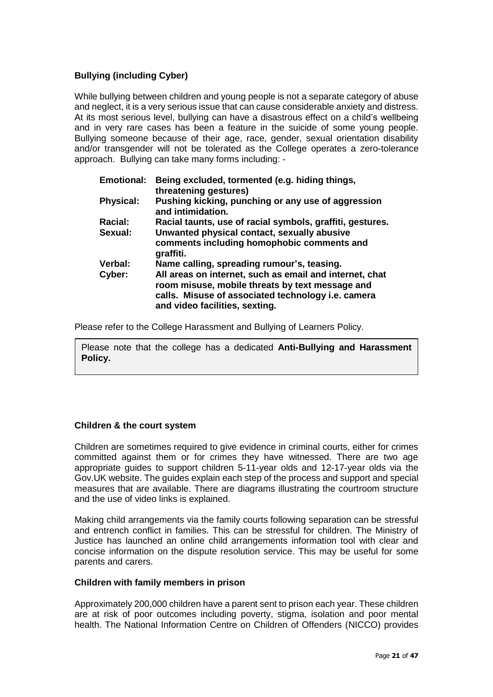### **Bullying (including Cyber)**

While bullying between children and young people is not a separate category of abuse and neglect, it is a very serious issue that can cause considerable anxiety and distress. At its most serious level, bullying can have a disastrous effect on a child's wellbeing and in very rare cases has been a feature in the suicide of some young people. Bullying someone because of their age, race, gender, sexual orientation disability and/or transgender will not be tolerated as the College operates a zero-tolerance approach. Bullying can take many forms including: -

| <b>Emotional:</b> | Being excluded, tormented (e.g. hiding things,<br>threatening gestures)                                                                                                                            |
|-------------------|----------------------------------------------------------------------------------------------------------------------------------------------------------------------------------------------------|
| <b>Physical:</b>  | Pushing kicking, punching or any use of aggression<br>and intimidation.                                                                                                                            |
| Racial:           | Racial taunts, use of racial symbols, graffiti, gestures.                                                                                                                                          |
| Sexual:           | Unwanted physical contact, sexually abusive                                                                                                                                                        |
|                   | comments including homophobic comments and<br>graffiti.                                                                                                                                            |
| Verbal:           | Name calling, spreading rumour's, teasing.                                                                                                                                                         |
| Cyber:            | All areas on internet, such as email and internet, chat<br>room misuse, mobile threats by text message and<br>calls. Misuse of associated technology i.e. camera<br>and video facilities, sexting. |

Please refer to the College Harassment and Bullying of Learners Policy.

Please note that the college has a dedicated **Anti-Bullying and Harassment Policy.**

#### **Children & the court system**

Children are sometimes required to give evidence in criminal courts, either for crimes committed against them or for crimes they have witnessed. There are two age appropriate guides to support children 5-11-year olds and 12-17-year olds via the Gov.UK website. The guides explain each step of the process and support and special measures that are available. There are diagrams illustrating the courtroom structure and the use of video links is explained.

Making child arrangements via the family courts following separation can be stressful and entrench conflict in families. This can be stressful for children. The Ministry of Justice has launched an online child arrangements information tool with clear and concise information on the dispute resolution service. This may be useful for some parents and carers.

#### **Children with family members in prison**

Approximately 200,000 children have a parent sent to prison each year. These children are at risk of poor outcomes including poverty, stigma, isolation and poor mental health. The National Information Centre on Children of Offenders (NICCO) provides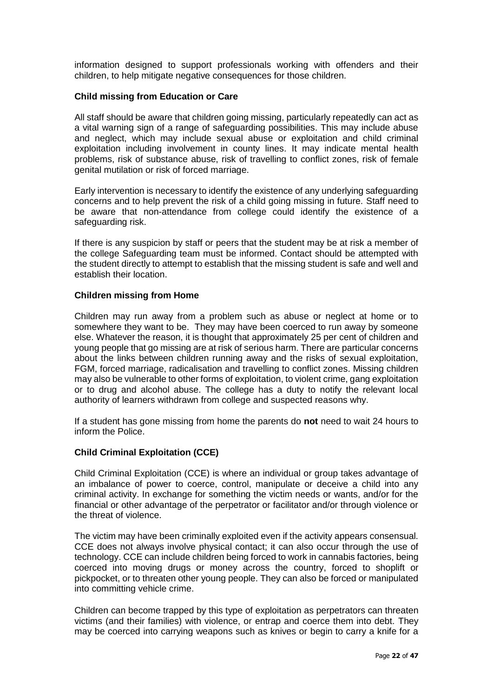information designed to support professionals working with offenders and their children, to help mitigate negative consequences for those children.

#### **Child missing from Education or Care**

All staff should be aware that children going missing, particularly repeatedly can act as a vital warning sign of a range of safeguarding possibilities. This may include abuse and neglect, which may include sexual abuse or exploitation and child criminal exploitation including involvement in county lines. It may indicate mental health problems, risk of substance abuse, risk of travelling to conflict zones, risk of female genital mutilation or risk of forced marriage.

Early intervention is necessary to identify the existence of any underlying safeguarding concerns and to help prevent the risk of a child going missing in future. Staff need to be aware that non-attendance from college could identify the existence of a safeguarding risk.

If there is any suspicion by staff or peers that the student may be at risk a member of the college Safeguarding team must be informed. Contact should be attempted with the student directly to attempt to establish that the missing student is safe and well and establish their location.

#### **Children missing from Home**

Children may run away from a problem such as abuse or neglect at home or to somewhere they want to be. They may have been coerced to run away by someone else. Whatever the reason, it is thought that approximately 25 per cent of children and young people that go missing are at risk of serious harm. There are particular concerns about the links between children running away and the risks of sexual exploitation, FGM, forced marriage, radicalisation and travelling to conflict zones. Missing children may also be vulnerable to other forms of exploitation, to violent crime, gang exploitation or to drug and alcohol abuse. The college has a duty to notify the relevant local authority of learners withdrawn from college and suspected reasons why.

If a student has gone missing from home the parents do **not** need to wait 24 hours to inform the Police.

#### **Child Criminal Exploitation (CCE)**

Child Criminal Exploitation (CCE) is where an individual or group takes advantage of an imbalance of power to coerce, control, manipulate or deceive a child into any criminal activity. In exchange for something the victim needs or wants, and/or for the financial or other advantage of the perpetrator or facilitator and/or through violence or the threat of violence.

The victim may have been criminally exploited even if the activity appears consensual. CCE does not always involve physical contact; it can also occur through the use of technology. CCE can include children being forced to work in cannabis factories, being coerced into moving drugs or money across the country, forced to shoplift or pickpocket, or to threaten other young people. They can also be forced or manipulated into committing vehicle crime.

Children can become trapped by this type of exploitation as perpetrators can threaten victims (and their families) with violence, or entrap and coerce them into debt. They may be coerced into carrying weapons such as knives or begin to carry a knife for a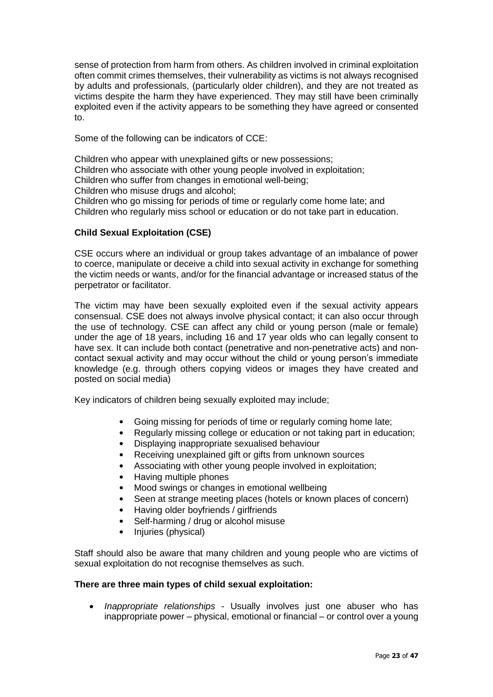sense of protection from harm from others. As children involved in criminal exploitation often commit crimes themselves, their vulnerability as victims is not always recognised by adults and professionals, (particularly older children), and they are not treated as victims despite the harm they have experienced. They may still have been criminally exploited even if the activity appears to be something they have agreed or consented to.

Some of the following can be indicators of CCE:

Children who appear with unexplained gifts or new possessions;

Children who associate with other young people involved in exploitation;

Children who suffer from changes in emotional well-being;

Children who misuse drugs and alcohol;

Children who go missing for periods of time or regularly come home late; and Children who regularly miss school or education or do not take part in education.

#### **Child Sexual Exploitation (CSE)**

CSE occurs where an individual or group takes advantage of an imbalance of power to coerce, manipulate or deceive a child into sexual activity in exchange for something the victim needs or wants, and/or for the financial advantage or increased status of the perpetrator or facilitator.

The victim may have been sexually exploited even if the sexual activity appears consensual. CSE does not always involve physical contact; it can also occur through the use of technology. CSE can affect any child or young person (male or female) under the age of 18 years, including 16 and 17 year olds who can legally consent to have sex. It can include both contact (penetrative and non-penetrative acts) and noncontact sexual activity and may occur without the child or young person's immediate knowledge (e.g. through others copying videos or images they have created and posted on social media)

Key indicators of children being sexually exploited may include;

- Going missing for periods of time or regularly coming home late;
- Regularly missing college or education or not taking part in education;
- Displaying inappropriate sexualised behaviour
- Receiving unexplained gift or gifts from unknown sources
- Associating with other young people involved in exploitation;
- Having multiple phones
- Mood swings or changes in emotional wellbeing
- Seen at strange meeting places (hotels or known places of concern)
- Having older boyfriends / girlfriends
- Self-harming / drug or alcohol misuse
- Injuries (physical)

Staff should also be aware that many children and young people who are victims of sexual exploitation do not recognise themselves as such.

#### **There are three main types of child sexual exploitation:**

• *Inappropriate relationships* - Usually involves just one abuser who has inappropriate power – physical, emotional or financial – or control over a young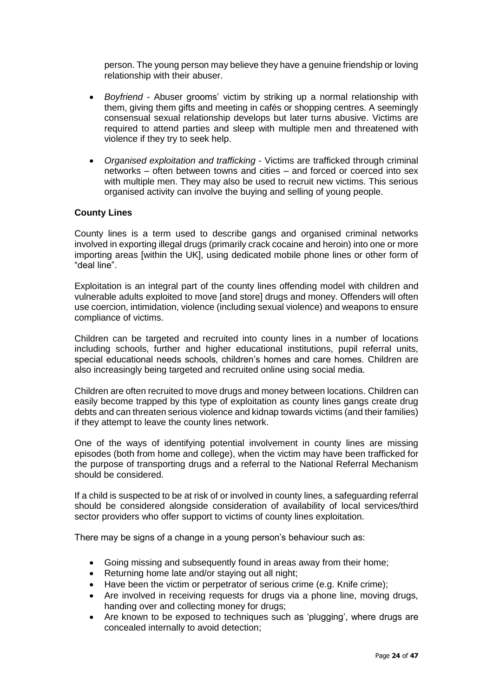person. The young person may believe they have a genuine friendship or loving relationship with their abuser.

- *Boyfriend* Abuser grooms' victim by striking up a normal relationship with them, giving them gifts and meeting in cafés or shopping centres. A seemingly consensual sexual relationship develops but later turns abusive. Victims are required to attend parties and sleep with multiple men and threatened with violence if they try to seek help.
- *Organised exploitation and trafficking* Victims are trafficked through criminal networks – often between towns and cities – and forced or coerced into sex with multiple men. They may also be used to recruit new victims. This serious organised activity can involve the buying and selling of young people.

#### **County Lines**

County lines is a term used to describe gangs and organised criminal networks involved in exporting illegal drugs (primarily crack cocaine and heroin) into one or more importing areas [within the UK], using dedicated mobile phone lines or other form of "deal line".

Exploitation is an integral part of the county lines offending model with children and vulnerable adults exploited to move [and store] drugs and money. Offenders will often use coercion, intimidation, violence (including sexual violence) and weapons to ensure compliance of victims.

Children can be targeted and recruited into county lines in a number of locations including schools, further and higher educational institutions, pupil referral units, special educational needs schools, children's homes and care homes. Children are also increasingly being targeted and recruited online using social media.

Children are often recruited to move drugs and money between locations. Children can easily become trapped by this type of exploitation as county lines gangs create drug debts and can threaten serious violence and kidnap towards victims (and their families) if they attempt to leave the county lines network.

One of the ways of identifying potential involvement in county lines are missing episodes (both from home and college), when the victim may have been trafficked for the purpose of transporting drugs and a referral to the National Referral Mechanism should be considered.

If a child is suspected to be at risk of or involved in county lines, a safeguarding referral should be considered alongside consideration of availability of local services/third sector providers who offer support to victims of county lines exploitation.

There may be signs of a change in a young person's behaviour such as:

- Going missing and subsequently found in areas away from their home;
- Returning home late and/or staying out all night;
- Have been the victim or perpetrator of serious crime (e.g. Knife crime);
- Are involved in receiving requests for drugs via a phone line, moving drugs, handing over and collecting money for drugs;
- Are known to be exposed to techniques such as 'plugging', where drugs are concealed internally to avoid detection;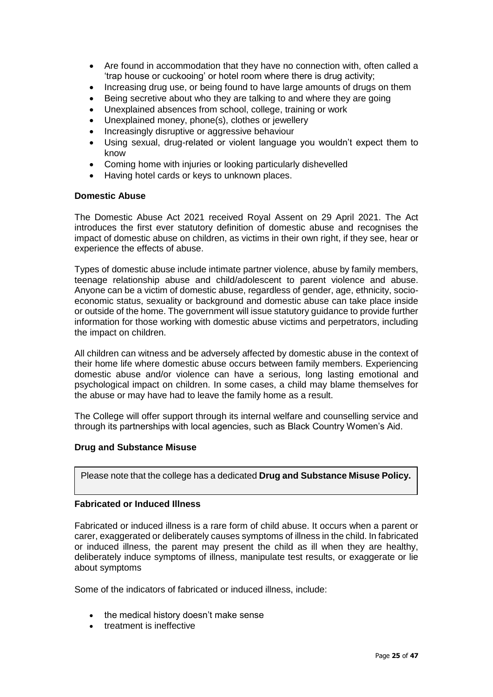- Are found in accommodation that they have no connection with, often called a 'trap house or cuckooing' or hotel room where there is drug activity;
- Increasing drug use, or being found to have large amounts of drugs on them
- Being secretive about who they are talking to and where they are going
- Unexplained absences from school, college, training or work
- Unexplained money, phone(s), clothes or jewellery
- Increasingly disruptive or aggressive behaviour
- Using sexual, drug-related or violent language you wouldn't expect them to know
- Coming home with injuries or looking particularly dishevelled
- Having hotel cards or keys to unknown places.

#### **Domestic Abuse**

The Domestic Abuse Act 2021 received Royal Assent on 29 April 2021. The Act introduces the first ever statutory definition of domestic abuse and recognises the impact of domestic abuse on children, as victims in their own right, if they see, hear or experience the effects of abuse.

Types of domestic abuse include intimate partner violence, abuse by family members, teenage relationship abuse and child/adolescent to parent violence and abuse. Anyone can be a victim of domestic abuse, regardless of gender, age, ethnicity, socioeconomic status, sexuality or background and domestic abuse can take place inside or outside of the home. The government will issue statutory guidance to provide further information for those working with domestic abuse victims and perpetrators, including the impact on children.

All children can witness and be adversely affected by domestic abuse in the context of their home life where domestic abuse occurs between family members. Experiencing domestic abuse and/or violence can have a serious, long lasting emotional and psychological impact on children. In some cases, a child may blame themselves for the abuse or may have had to leave the family home as a result.

The College will offer support through its internal welfare and counselling service and through its partnerships with local agencies, such as Black Country Women's Aid.

#### **Drug and Substance Misuse**

Please note that the college has a dedicated **Drug and Substance Misuse Policy.**

#### **Fabricated or Induced Illness**

Fabricated or induced illness is a rare form of child abuse. It occurs when a parent or carer, exaggerated or deliberately causes symptoms of illness in the child. In fabricated or induced illness, the parent may present the child as ill when they are healthy, deliberately induce symptoms of illness, manipulate test results, or exaggerate or lie about symptoms

Some of the indicators of fabricated or induced illness, include:

- the medical history doesn't make sense
- treatment is ineffective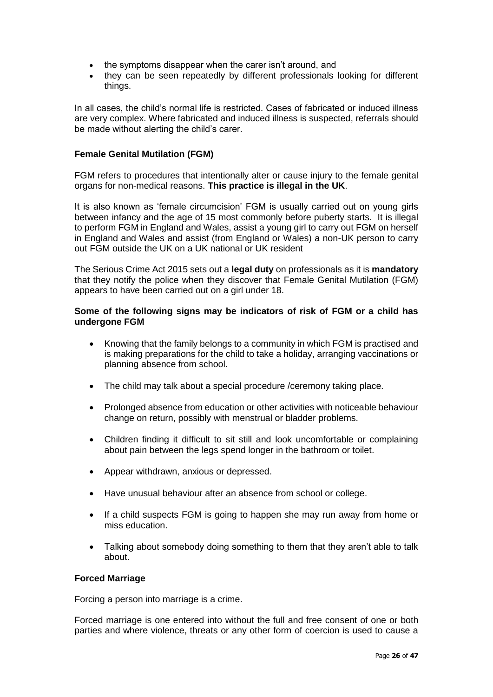- the symptoms disappear when the carer isn't around, and
- they can be seen repeatedly by different professionals looking for different things.

In all cases, the child's normal life is restricted. Cases of fabricated or induced illness are very complex. Where fabricated and induced illness is suspected, referrals should be made without alerting the child's carer.

#### **Female Genital Mutilation (FGM)**

FGM refers to procedures that intentionally alter or cause injury to the female genital organs for non-medical reasons. **This practice is illegal in the UK**.

It is also known as 'female circumcision' FGM is usually carried out on young girls between infancy and the age of 15 most commonly before puberty starts. It is illegal to perform FGM in England and Wales, assist a young girl to carry out FGM on herself in England and Wales and assist (from England or Wales) a non-UK person to carry out FGM outside the UK on a UK national or UK resident

The Serious Crime Act 2015 sets out a **legal duty** on professionals as it is **mandatory**  that they notify the police when they discover that Female Genital Mutilation (FGM) appears to have been carried out on a girl under 18.

#### **Some of the following signs may be indicators of risk of FGM or a child has undergone FGM**

- Knowing that the family belongs to a community in which FGM is practised and is making preparations for the child to take a holiday, arranging vaccinations or planning absence from school.
- The child may talk about a special procedure / ceremony taking place.
- Prolonged absence from education or other activities with noticeable behaviour change on return, possibly with menstrual or bladder problems.
- Children finding it difficult to sit still and look uncomfortable or complaining about pain between the legs spend longer in the bathroom or toilet.
- Appear withdrawn, anxious or depressed.
- Have unusual behaviour after an absence from school or college.
- If a child suspects FGM is going to happen she may run away from home or miss education.
- Talking about somebody doing something to them that they aren't able to talk about.

#### **Forced Marriage**

Forcing a person into marriage is a crime.

Forced marriage is one entered into without the full and free consent of one or both parties and where violence, threats or any other form of coercion is used to cause a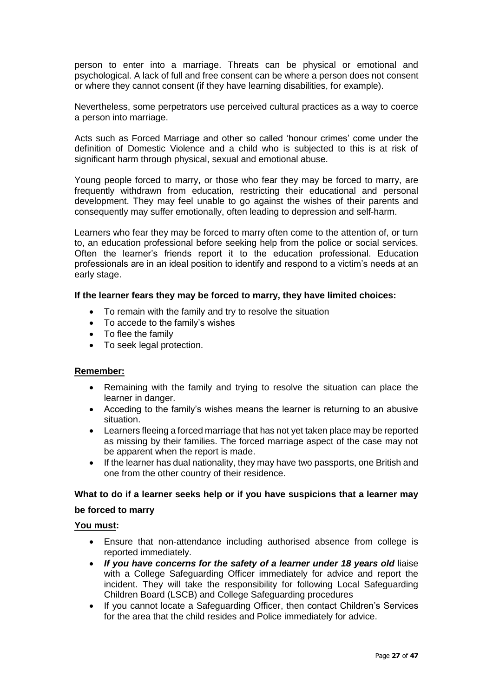person to enter into a marriage. Threats can be physical or emotional and psychological. A lack of full and free consent can be where a person does not consent or where they cannot consent (if they have learning disabilities, for example).

Nevertheless, some perpetrators use perceived cultural practices as a way to coerce a person into marriage.

Acts such as Forced Marriage and other so called 'honour crimes' come under the definition of Domestic Violence and a child who is subjected to this is at risk of significant harm through physical, sexual and emotional abuse.

Young people forced to marry, or those who fear they may be forced to marry, are frequently withdrawn from education, restricting their educational and personal development. They may feel unable to go against the wishes of their parents and consequently may suffer emotionally, often leading to depression and self-harm.

Learners who fear they may be forced to marry often come to the attention of, or turn to, an education professional before seeking help from the police or social services. Often the learner's friends report it to the education professional. Education professionals are in an ideal position to identify and respond to a victim's needs at an early stage.

#### **If the learner fears they may be forced to marry, they have limited choices:**

- To remain with the family and try to resolve the situation
- To accede to the family's wishes
- To flee the family
- To seek legal protection.

#### **Remember:**

- Remaining with the family and trying to resolve the situation can place the learner in danger.
- Acceding to the family's wishes means the learner is returning to an abusive situation.
- Learners fleeing a forced marriage that has not yet taken place may be reported as missing by their families. The forced marriage aspect of the case may not be apparent when the report is made.
- If the learner has dual nationality, they may have two passports, one British and one from the other country of their residence.

#### **What to do if a learner seeks help or if you have suspicions that a learner may**

#### **be forced to marry**

#### **You must:**

- Ensure that non-attendance including authorised absence from college is reported immediately.
- *If you have concerns for the safety of a learner under 18 years old* liaise with a College Safeguarding Officer immediately for advice and report the incident. They will take the responsibility for following Local Safeguarding Children Board (LSCB) and College Safeguarding procedures
- If you cannot locate a Safeguarding Officer, then contact Children's Services for the area that the child resides and Police immediately for advice.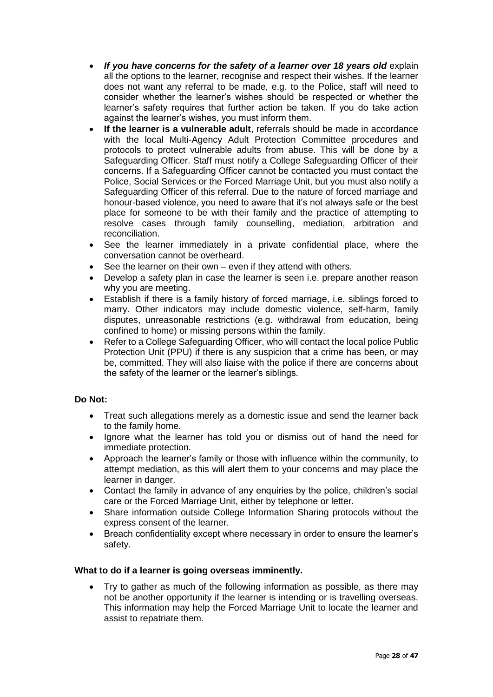- *If you have concerns for the safety of a learner over 18 years old* explain all the options to the learner, recognise and respect their wishes. If the learner does not want any referral to be made, e.g. to the Police, staff will need to consider whether the learner's wishes should be respected or whether the learner's safety requires that further action be taken. If you do take action against the learner's wishes, you must inform them.
- **If the learner is a vulnerable adult**, referrals should be made in accordance with the local Multi-Agency Adult Protection Committee procedures and protocols to protect vulnerable adults from abuse. This will be done by a Safeguarding Officer. Staff must notify a College Safeguarding Officer of their concerns. If a Safeguarding Officer cannot be contacted you must contact the Police, Social Services or the Forced Marriage Unit, but you must also notify a Safeguarding Officer of this referral. Due to the nature of forced marriage and honour-based violence, you need to aware that it's not always safe or the best place for someone to be with their family and the practice of attempting to resolve cases through family counselling, mediation, arbitration and reconciliation.
- See the learner immediately in a private confidential place, where the conversation cannot be overheard.
- See the learner on their own even if they attend with others.
- Develop a safety plan in case the learner is seen i.e. prepare another reason why you are meeting.
- Establish if there is a family history of forced marriage, i.e. siblings forced to marry. Other indicators may include domestic violence, self-harm, family disputes, unreasonable restrictions (e.g. withdrawal from education, being confined to home) or missing persons within the family.
- Refer to a College Safeguarding Officer, who will contact the local police Public Protection Unit (PPU) if there is any suspicion that a crime has been, or may be, committed. They will also liaise with the police if there are concerns about the safety of the learner or the learner's siblings.

#### **Do Not:**

- Treat such allegations merely as a domestic issue and send the learner back to the family home.
- Ignore what the learner has told you or dismiss out of hand the need for immediate protection.
- Approach the learner's family or those with influence within the community, to attempt mediation, as this will alert them to your concerns and may place the learner in danger.
- Contact the family in advance of any enquiries by the police, children's social care or the Forced Marriage Unit, either by telephone or letter.
- Share information outside College Information Sharing protocols without the express consent of the learner.
- Breach confidentiality except where necessary in order to ensure the learner's safety.

#### **What to do if a learner is going overseas imminently.**

• Try to gather as much of the following information as possible, as there may not be another opportunity if the learner is intending or is travelling overseas. This information may help the Forced Marriage Unit to locate the learner and assist to repatriate them.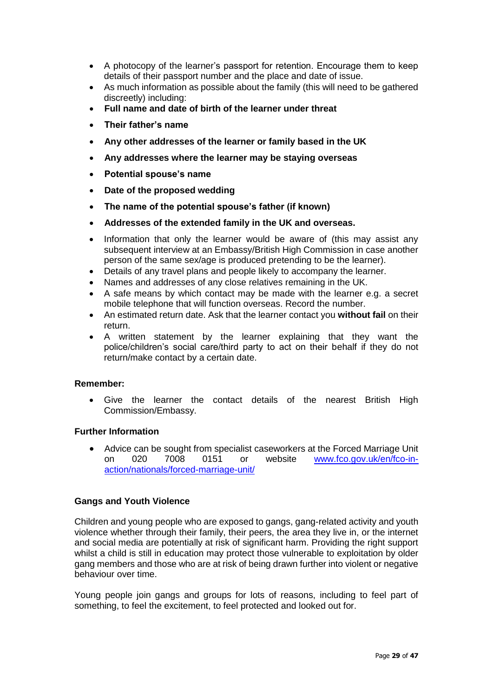- A photocopy of the learner's passport for retention. Encourage them to keep details of their passport number and the place and date of issue.
- As much information as possible about the family (this will need to be gathered discreetly) including:
- **Full name and date of birth of the learner under threat**
- **Their father's name**
- **Any other addresses of the learner or family based in the UK**
- **Any addresses where the learner may be staying overseas**
- **Potential spouse's name**
- **Date of the proposed wedding**
- **The name of the potential spouse's father (if known)**
- **Addresses of the extended family in the UK and overseas.**
- Information that only the learner would be aware of (this may assist any subsequent interview at an Embassy/British High Commission in case another person of the same sex/age is produced pretending to be the learner).
- Details of any travel plans and people likely to accompany the learner.
- Names and addresses of any close relatives remaining in the UK.
- A safe means by which contact may be made with the learner e.g. a secret mobile telephone that will function overseas. Record the number.
- An estimated return date. Ask that the learner contact you **without fail** on their return.
- A written statement by the learner explaining that they want the police/children's social care/third party to act on their behalf if they do not return/make contact by a certain date.

#### **Remember:**

Give the learner the contact details of the nearest British High Commission/Embassy.

#### **Further Information**

• Advice can be sought from specialist caseworkers at the Forced Marriage Unit on 020 7008 0151 or website [www.fco.gov.uk/en/fco-in](http://www.fco.gov.uk/en/fco-in-action/nationals/forced-marriage-unit/)[action/nationals/forced-marriage-unit/](http://www.fco.gov.uk/en/fco-in-action/nationals/forced-marriage-unit/)

#### **Gangs and Youth Violence**

Children and young people who are exposed to gangs, gang-related activity and youth violence whether through their family, their peers, the area they live in, or the internet and social media are potentially at risk of significant harm. Providing the right support whilst a child is still in education may protect those vulnerable to exploitation by older gang members and those who are at risk of being drawn further into violent or negative behaviour over time.

Young people join gangs and groups for lots of reasons, including to feel part of something, to feel the excitement, to feel protected and looked out for.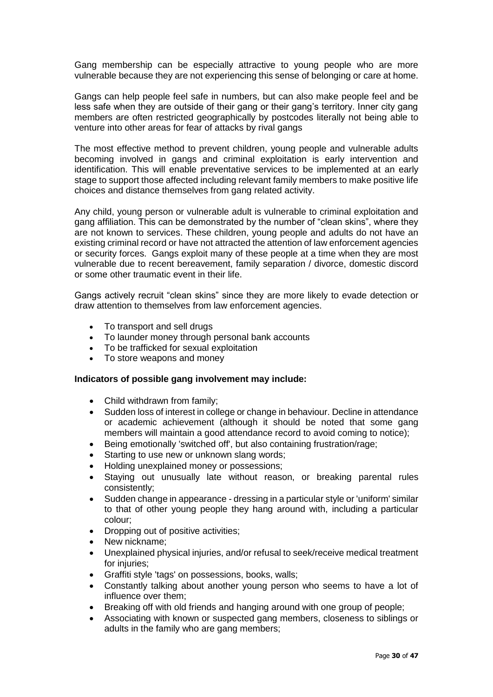Gang membership can be especially attractive to young people who are more vulnerable because they are not experiencing this sense of belonging or care at home.

Gangs can help people feel safe in numbers, but can also make people feel and be less safe when they are outside of their gang or their gang's territory. Inner city gang members are often restricted geographically by postcodes literally not being able to venture into other areas for fear of attacks by rival gangs

The most effective method to prevent children, young people and vulnerable adults becoming involved in gangs and criminal exploitation is early intervention and identification. This will enable preventative services to be implemented at an early stage to support those affected including relevant family members to make positive life choices and distance themselves from gang related activity.

Any child, young person or vulnerable adult is vulnerable to criminal exploitation and gang affiliation. This can be demonstrated by the number of "clean skins", where they are not known to services. These children, young people and adults do not have an existing criminal record or have not attracted the attention of law enforcement agencies or security forces. Gangs exploit many of these people at a time when they are most vulnerable due to recent bereavement, family separation / divorce, domestic discord or some other traumatic event in their life.

Gangs actively recruit "clean skins" since they are more likely to evade detection or draw attention to themselves from law enforcement agencies.

- To transport and sell drugs
- To launder money through personal bank accounts
- To be trafficked for sexual exploitation
- To store weapons and money

#### **Indicators of possible gang involvement may include:**

- Child withdrawn from family;
- Sudden loss of interest in college or change in behaviour. Decline in attendance or academic achievement (although it should be noted that some gang members will maintain a good attendance record to avoid coming to notice);
- Being emotionally 'switched off', but also containing frustration/rage;
- Starting to use new or unknown slang words;
- Holding unexplained money or possessions;
- Staying out unusually late without reason, or breaking parental rules consistently;
- Sudden change in appearance dressing in a particular style or 'uniform' similar to that of other young people they hang around with, including a particular colour;
- Dropping out of positive activities;
- New nickname:
- Unexplained physical injuries, and/or refusal to seek/receive medical treatment for injuries;
- Graffiti style 'tags' on possessions, books, walls;
- Constantly talking about another young person who seems to have a lot of influence over them;
- Breaking off with old friends and hanging around with one group of people;
- Associating with known or suspected gang members, closeness to siblings or adults in the family who are gang members;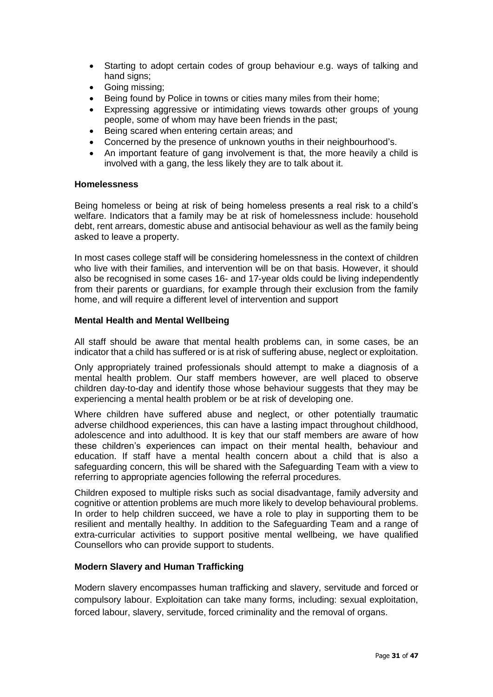- Starting to adopt certain codes of group behaviour e.g. ways of talking and hand signs;
- Going missing;
- Being found by Police in towns or cities many miles from their home:
- Expressing aggressive or intimidating views towards other groups of young people, some of whom may have been friends in the past;
- Being scared when entering certain areas; and
- Concerned by the presence of unknown youths in their neighbourhood's.
- An important feature of gang involvement is that, the more heavily a child is involved with a gang, the less likely they are to talk about it.

#### **Homelessness**

Being homeless or being at risk of being homeless presents a real risk to a child's welfare. Indicators that a family may be at risk of homelessness include: household debt, rent arrears, domestic abuse and antisocial behaviour as well as the family being asked to leave a property.

In most cases college staff will be considering homelessness in the context of children who live with their families, and intervention will be on that basis. However, it should also be recognised in some cases 16- and 17-year olds could be living independently from their parents or guardians, for example through their exclusion from the family home, and will require a different level of intervention and support

#### **Mental Health and Mental Wellbeing**

All staff should be aware that mental health problems can, in some cases, be an indicator that a child has suffered or is at risk of suffering abuse, neglect or exploitation.

Only appropriately trained professionals should attempt to make a diagnosis of a mental health problem. Our staff members however, are well placed to observe children day-to-day and identify those whose behaviour suggests that they may be experiencing a mental health problem or be at risk of developing one.

Where children have suffered abuse and neglect, or other potentially traumatic adverse childhood experiences, this can have a lasting impact throughout childhood, adolescence and into adulthood. It is key that our staff members are aware of how these children's experiences can impact on their mental health, behaviour and education. If staff have a mental health concern about a child that is also a safeguarding concern, this will be shared with the Safeguarding Team with a view to referring to appropriate agencies following the referral procedures.

Children exposed to multiple risks such as social disadvantage, family adversity and cognitive or attention problems are much more likely to develop behavioural problems. In order to help children succeed, we have a role to play in supporting them to be resilient and mentally healthy. In addition to the Safeguarding Team and a range of extra-curricular activities to support positive mental wellbeing, we have qualified Counsellors who can provide support to students.

#### **Modern Slavery and Human Trafficking**

Modern slavery encompasses human trafficking and slavery, servitude and forced or compulsory labour. Exploitation can take many forms, including: sexual exploitation, forced labour, slavery, servitude, forced criminality and the removal of organs.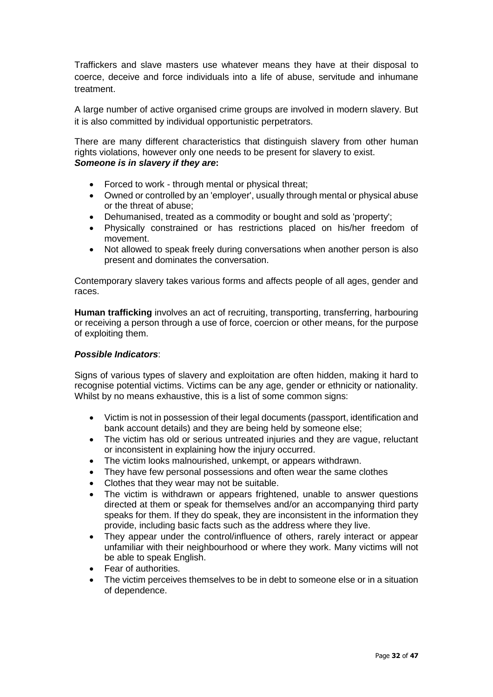Traffickers and slave masters use whatever means they have at their disposal to coerce, deceive and force individuals into a life of abuse, servitude and inhumane treatment.

A large number of active organised crime groups are involved in modern slavery. But it is also committed by individual opportunistic perpetrators.

There are many different characteristics that distinguish slavery from other human rights violations, however only one needs to be present for slavery to exist. *Someone is in slavery if they are***:** 

- Forced to work through mental or physical threat;
- Owned or controlled by an 'employer', usually through mental or physical abuse or the threat of abuse;
- Dehumanised, treated as a commodity or bought and sold as 'property';
- Physically constrained or has restrictions placed on his/her freedom of movement.
- Not allowed to speak freely during conversations when another person is also present and dominates the conversation.

Contemporary slavery takes various forms and affects people of all ages, gender and races.

**Human trafficking** involves an act of recruiting, transporting, transferring, harbouring or receiving a person through a use of force, coercion or other means, for the purpose of exploiting them.

#### *Possible Indicators*:

Signs of various types of slavery and exploitation are often hidden, making it hard to recognise potential victims. Victims can be any age, gender or ethnicity or nationality. Whilst by no means exhaustive, this is a list of some common signs:

- Victim is not in possession of their legal documents (passport, identification and bank account details) and they are being held by someone else;
- The victim has old or serious untreated injuries and they are vague, reluctant or inconsistent in explaining how the injury occurred.
- The victim looks malnourished, unkempt, or appears withdrawn.
- They have few personal possessions and often wear the same clothes
- Clothes that they wear may not be suitable.
- The victim is withdrawn or appears frightened, unable to answer questions directed at them or speak for themselves and/or an accompanying third party speaks for them. If they do speak, they are inconsistent in the information they provide, including basic facts such as the address where they live.
- They appear under the control/influence of others, rarely interact or appear unfamiliar with their neighbourhood or where they work. Many victims will not be able to speak English.
- Fear of authorities.
- The victim perceives themselves to be in debt to someone else or in a situation of dependence.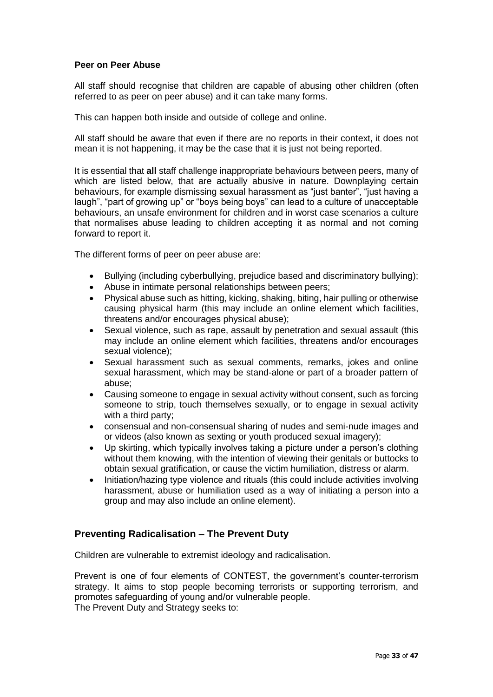#### **Peer on Peer Abuse**

All staff should recognise that children are capable of abusing other children (often referred to as peer on peer abuse) and it can take many forms.

This can happen both inside and outside of college and online.

All staff should be aware that even if there are no reports in their context, it does not mean it is not happening, it may be the case that it is just not being reported.

It is essential that **all** staff challenge inappropriate behaviours between peers, many of which are listed below, that are actually abusive in nature. Downplaying certain behaviours, for example dismissing sexual harassment as "just banter", "just having a laugh", "part of growing up" or "boys being boys" can lead to a culture of unacceptable behaviours, an unsafe environment for children and in worst case scenarios a culture that normalises abuse leading to children accepting it as normal and not coming forward to report it.

The different forms of peer on peer abuse are:

- Bullying (including cyberbullying, prejudice based and discriminatory bullying);
- Abuse in intimate personal relationships between peers;
- Physical abuse such as hitting, kicking, shaking, biting, hair pulling or otherwise causing physical harm (this may include an online element which facilities, threatens and/or encourages physical abuse);
- Sexual violence, such as rape, assault by penetration and sexual assault (this may include an online element which facilities, threatens and/or encourages sexual violence);
- Sexual harassment such as sexual comments, remarks, jokes and online sexual harassment, which may be stand-alone or part of a broader pattern of abuse;
- Causing someone to engage in sexual activity without consent, such as forcing someone to strip, touch themselves sexually, or to engage in sexual activity with a third party;
- consensual and non-consensual sharing of nudes and semi-nude images and or videos (also known as sexting or youth produced sexual imagery);
- Up skirting, which typically involves taking a picture under a person's clothing without them knowing, with the intention of viewing their genitals or buttocks to obtain sexual gratification, or cause the victim humiliation, distress or alarm.
- Initiation/hazing type violence and rituals (this could include activities involving harassment, abuse or humiliation used as a way of initiating a person into a group and may also include an online element).

### **Preventing Radicalisation – The Prevent Duty**

Children are vulnerable to extremist ideology and radicalisation.

Prevent is one of four elements of CONTEST, the government's counter-terrorism strategy. It aims to stop people becoming terrorists or supporting terrorism, and promotes safeguarding of young and/or vulnerable people. The Prevent Duty and Strategy seeks to: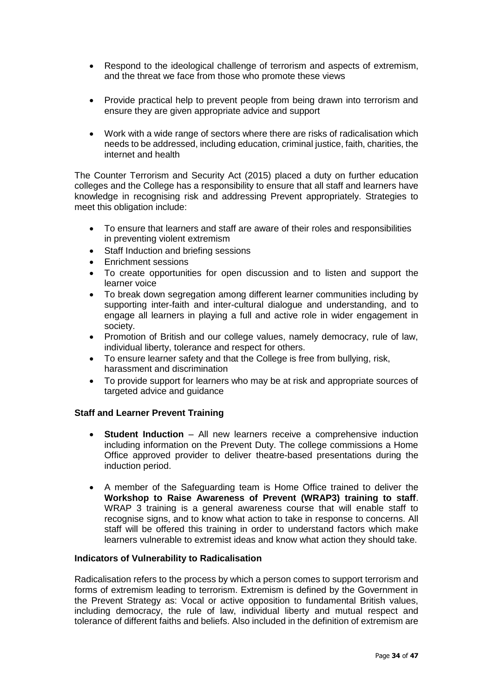- Respond to the ideological challenge of terrorism and aspects of extremism, and the threat we face from those who promote these views
- Provide practical help to prevent people from being drawn into terrorism and ensure they are given appropriate advice and support
- Work with a wide range of sectors where there are risks of radicalisation which needs to be addressed, including education, criminal justice, faith, charities, the internet and health

The Counter Terrorism and Security Act (2015) placed a duty on further education colleges and the College has a responsibility to ensure that all staff and learners have knowledge in recognising risk and addressing Prevent appropriately. Strategies to meet this obligation include:

- To ensure that learners and staff are aware of their roles and responsibilities in preventing violent extremism
- Staff Induction and briefing sessions
- Enrichment sessions
- To create opportunities for open discussion and to listen and support the learner voice
- To break down segregation among different learner communities including by supporting inter-faith and inter-cultural dialogue and understanding, and to engage all learners in playing a full and active role in wider engagement in society.
- Promotion of British and our college values, namely democracy, rule of law, individual liberty, tolerance and respect for others.
- To ensure learner safety and that the College is free from bullying, risk, harassment and discrimination
- To provide support for learners who may be at risk and appropriate sources of targeted advice and guidance

#### **Staff and Learner Prevent Training**

- **Student Induction** All new learners receive a comprehensive induction including information on the Prevent Duty. The college commissions a Home Office approved provider to deliver theatre-based presentations during the induction period.
- A member of the Safeguarding team is Home Office trained to deliver the **Workshop to Raise Awareness of Prevent (WRAP3) training to staff**. WRAP 3 training is a general awareness course that will enable staff to recognise signs, and to know what action to take in response to concerns. All staff will be offered this training in order to understand factors which make learners vulnerable to extremist ideas and know what action they should take.

#### **Indicators of Vulnerability to Radicalisation**

Radicalisation refers to the process by which a person comes to support terrorism and forms of extremism leading to terrorism. Extremism is defined by the Government in the Prevent Strategy as: Vocal or active opposition to fundamental British values, including democracy, the rule of law, individual liberty and mutual respect and tolerance of different faiths and beliefs. Also included in the definition of extremism are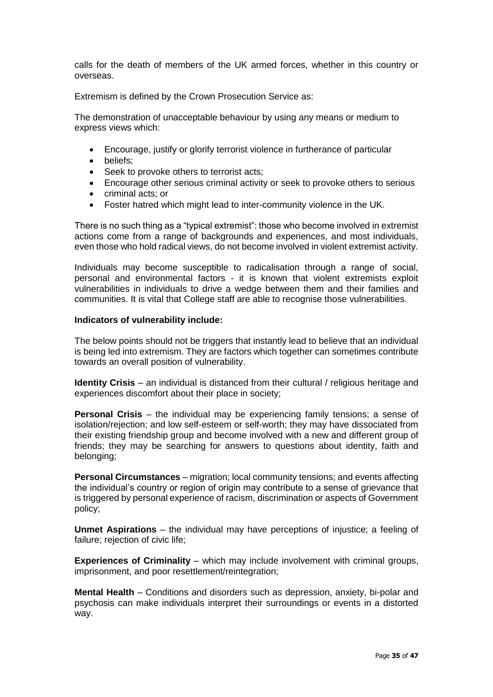calls for the death of members of the UK armed forces, whether in this country or overseas.

Extremism is defined by the Crown Prosecution Service as:

The demonstration of unacceptable behaviour by using any means or medium to express views which:

- Encourage, justify or glorify terrorist violence in furtherance of particular
- beliefs;
- Seek to provoke others to terrorist acts;
- Encourage other serious criminal activity or seek to provoke others to serious
- criminal acts; or
- Foster hatred which might lead to inter-community violence in the UK.

There is no such thing as a "typical extremist": those who become involved in extremist actions come from a range of backgrounds and experiences, and most individuals, even those who hold radical views, do not become involved in violent extremist activity.

Individuals may become susceptible to radicalisation through a range of social, personal and environmental factors - it is known that violent extremists exploit vulnerabilities in individuals to drive a wedge between them and their families and communities. It is vital that College staff are able to recognise those vulnerabilities.

#### **Indicators of vulnerability include:**

The below points should not be triggers that instantly lead to believe that an individual is being led into extremism. They are factors which together can sometimes contribute towards an overall position of vulnerability.

**Identity Crisis** – an individual is distanced from their cultural / religious heritage and experiences discomfort about their place in society;

**Personal Crisis** – the individual may be experiencing family tensions; a sense of isolation/rejection; and low self-esteem or self-worth; they may have dissociated from their existing friendship group and become involved with a new and different group of friends; they may be searching for answers to questions about identity, faith and belonging;

**Personal Circumstances** – migration; local community tensions; and events affecting the individual's country or region of origin may contribute to a sense of grievance that is triggered by personal experience of racism, discrimination or aspects of Government policy;

**Unmet Aspirations** – the individual may have perceptions of injustice; a feeling of failure; rejection of civic life;

**Experiences of Criminality** – which may include involvement with criminal groups, imprisonment, and poor resettlement/reintegration;

**Mental Health** – Conditions and disorders such as depression, anxiety, bi-polar and psychosis can make individuals interpret their surroundings or events in a distorted way.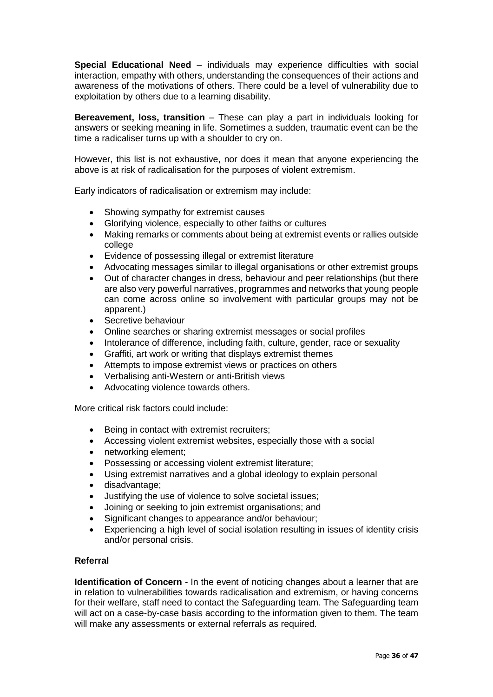**Special Educational Need** – individuals may experience difficulties with social interaction, empathy with others, understanding the consequences of their actions and awareness of the motivations of others. There could be a level of vulnerability due to exploitation by others due to a learning disability.

**Bereavement, loss, transition** – These can play a part in individuals looking for answers or seeking meaning in life. Sometimes a sudden, traumatic event can be the time a radicaliser turns up with a shoulder to cry on.

However, this list is not exhaustive, nor does it mean that anyone experiencing the above is at risk of radicalisation for the purposes of violent extremism.

Early indicators of radicalisation or extremism may include:

- Showing sympathy for extremist causes
- Glorifying violence, especially to other faiths or cultures
- Making remarks or comments about being at extremist events or rallies outside college
- Evidence of possessing illegal or extremist literature
- Advocating messages similar to illegal organisations or other extremist groups
- Out of character changes in dress, behaviour and peer relationships (but there are also very powerful narratives, programmes and networks that young people can come across online so involvement with particular groups may not be apparent.)
- Secretive behaviour
- Online searches or sharing extremist messages or social profiles
- Intolerance of difference, including faith, culture, gender, race or sexuality
- Graffiti, art work or writing that displays extremist themes
- Attempts to impose extremist views or practices on others
- Verbalising anti-Western or anti-British views
- Advocating violence towards others.

More critical risk factors could include:

- Being in contact with extremist recruiters:
- Accessing violent extremist websites, especially those with a social
- networking element;
- Possessing or accessing violent extremist literature;
- Using extremist narratives and a global ideology to explain personal
- disadvantage;
- Justifying the use of violence to solve societal issues;
- Joining or seeking to join extremist organisations; and
- Significant changes to appearance and/or behaviour:
- Experiencing a high level of social isolation resulting in issues of identity crisis and/or personal crisis.

#### **Referral**

**Identification of Concern** - In the event of noticing changes about a learner that are in relation to vulnerabilities towards radicalisation and extremism, or having concerns for their welfare, staff need to contact the Safeguarding team. The Safeguarding team will act on a case-by-case basis according to the information given to them. The team will make any assessments or external referrals as required.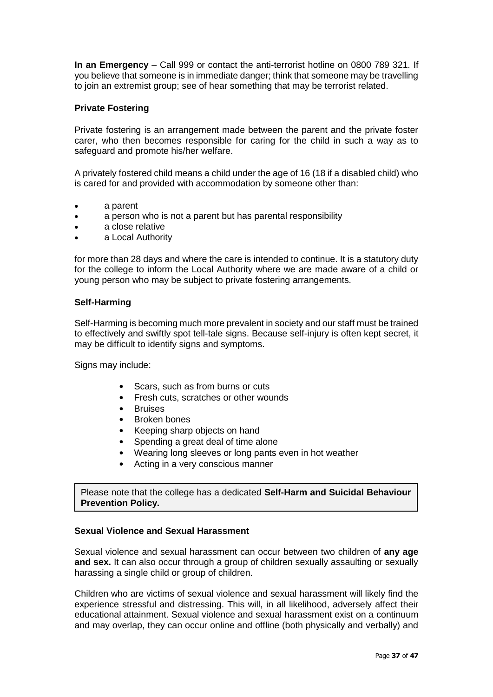**In an Emergency** – Call 999 or contact the anti-terrorist hotline on 0800 789 321. If you believe that someone is in immediate danger; think that someone may be travelling to join an extremist group; see of hear something that may be terrorist related.

#### **Private Fostering**

Private fostering is an arrangement made between the parent and the private foster carer, who then becomes responsible for caring for the child in such a way as to safeguard and promote his/her welfare.

A privately fostered child means a child under the age of 16 (18 if a disabled child) who is cared for and provided with accommodation by someone other than:

- a parent
- a person who is not a parent but has parental responsibility
- a close relative
- a Local Authority

for more than 28 days and where the care is intended to continue. It is a statutory duty for the college to inform the Local Authority where we are made aware of a child or young person who may be subject to private fostering arrangements.

#### **Self-Harming**

Self-Harming is becoming much more prevalent in society and our staff must be trained to effectively and swiftly spot tell-tale signs. Because self-injury is often kept secret, it may be difficult to identify signs and symptoms.

Signs may include:

- Scars, such as from burns or cuts
- Fresh cuts, scratches or other wounds
- Bruises
- Broken bones
- Keeping sharp objects on hand
- Spending a great deal of time alone
- Wearing long sleeves or long pants even in hot weather
- Acting in a very conscious manner

Please note that the college has a dedicated **Self-Harm and Suicidal Behaviour Prevention Policy.**

#### **Sexual Violence and Sexual Harassment**

Sexual violence and sexual harassment can occur between two children of **any age and sex.** It can also occur through a group of children sexually assaulting or sexually harassing a single child or group of children.

Children who are victims of sexual violence and sexual harassment will likely find the experience stressful and distressing. This will, in all likelihood, adversely affect their educational attainment. Sexual violence and sexual harassment exist on a continuum and may overlap, they can occur online and offline (both physically and verbally) and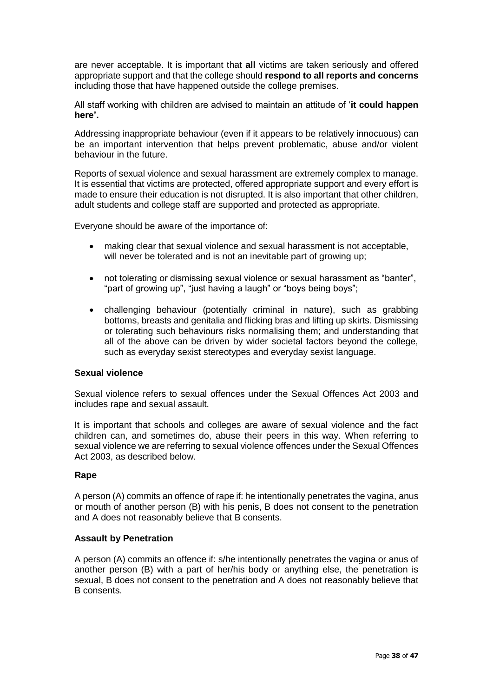are never acceptable. It is important that **all** victims are taken seriously and offered appropriate support and that the college should **respond to all reports and concerns** including those that have happened outside the college premises.

All staff working with children are advised to maintain an attitude of '**it could happen here'.**

Addressing inappropriate behaviour (even if it appears to be relatively innocuous) can be an important intervention that helps prevent problematic, abuse and/or violent behaviour in the future.

Reports of sexual violence and sexual harassment are extremely complex to manage. It is essential that victims are protected, offered appropriate support and every effort is made to ensure their education is not disrupted. It is also important that other children, adult students and college staff are supported and protected as appropriate.

Everyone should be aware of the importance of:

- making clear that sexual violence and sexual harassment is not acceptable, will never be tolerated and is not an inevitable part of growing up;
- not tolerating or dismissing sexual violence or sexual harassment as "banter", "part of growing up", "just having a laugh" or "boys being boys";
- challenging behaviour (potentially criminal in nature), such as grabbing bottoms, breasts and genitalia and flicking bras and lifting up skirts. Dismissing or tolerating such behaviours risks normalising them; and understanding that all of the above can be driven by wider societal factors beyond the college, such as everyday sexist stereotypes and everyday sexist language.

### **Sexual violence**

Sexual violence refers to sexual offences under the Sexual Offences Act 2003 and includes rape and sexual assault.

It is important that schools and colleges are aware of sexual violence and the fact children can, and sometimes do, abuse their peers in this way. When referring to sexual violence we are referring to sexual violence offences under the Sexual Offences Act 2003, as described below.

#### **Rape**

A person (A) commits an offence of rape if: he intentionally penetrates the vagina, anus or mouth of another person (B) with his penis, B does not consent to the penetration and A does not reasonably believe that B consents.

#### **Assault by Penetration**

A person (A) commits an offence if: s/he intentionally penetrates the vagina or anus of another person (B) with a part of her/his body or anything else, the penetration is sexual, B does not consent to the penetration and A does not reasonably believe that B consents.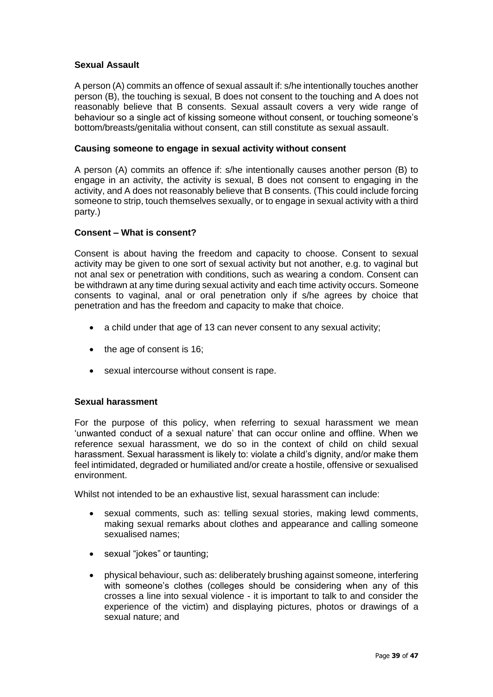#### **Sexual Assault**

A person (A) commits an offence of sexual assault if: s/he intentionally touches another person (B), the touching is sexual, B does not consent to the touching and A does not reasonably believe that B consents. Sexual assault covers a very wide range of behaviour so a single act of kissing someone without consent, or touching someone's bottom/breasts/genitalia without consent, can still constitute as sexual assault.

#### **Causing someone to engage in sexual activity without consent**

A person (A) commits an offence if: s/he intentionally causes another person (B) to engage in an activity, the activity is sexual, B does not consent to engaging in the activity, and A does not reasonably believe that B consents. (This could include forcing someone to strip, touch themselves sexually, or to engage in sexual activity with a third party.)

#### **Consent – What is consent?**

Consent is about having the freedom and capacity to choose. Consent to sexual activity may be given to one sort of sexual activity but not another, e.g. to vaginal but not anal sex or penetration with conditions, such as wearing a condom. Consent can be withdrawn at any time during sexual activity and each time activity occurs. Someone consents to vaginal, anal or oral penetration only if s/he agrees by choice that penetration and has the freedom and capacity to make that choice.

- a child under that age of 13 can never consent to any sexual activity;
- the age of consent is 16;
- sexual intercourse without consent is rape.

#### **Sexual harassment**

For the purpose of this policy, when referring to sexual harassment we mean 'unwanted conduct of a sexual nature' that can occur online and offline. When we reference sexual harassment, we do so in the context of child on child sexual harassment. Sexual harassment is likely to: violate a child's dignity, and/or make them feel intimidated, degraded or humiliated and/or create a hostile, offensive or sexualised environment.

Whilst not intended to be an exhaustive list, sexual harassment can include:

- sexual comments, such as: telling sexual stories, making lewd comments, making sexual remarks about clothes and appearance and calling someone sexualised names;
- sexual "jokes" or taunting;
- physical behaviour, such as: deliberately brushing against someone, interfering with someone's clothes (colleges should be considering when any of this crosses a line into sexual violence - it is important to talk to and consider the experience of the victim) and displaying pictures, photos or drawings of a sexual nature; and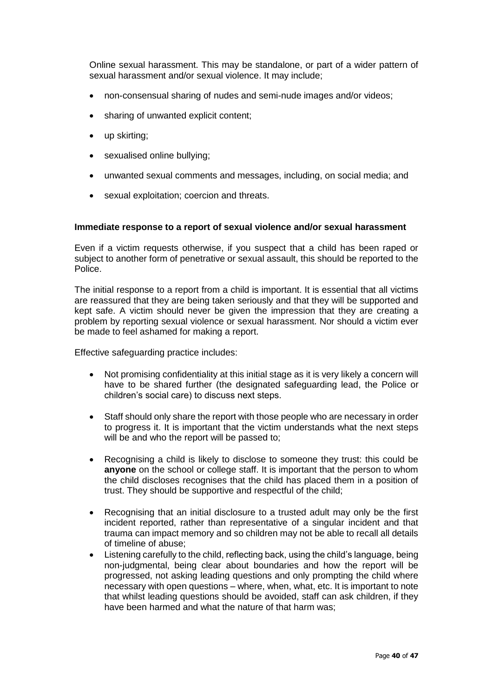Online sexual harassment. This may be standalone, or part of a wider pattern of sexual harassment and/or sexual violence. It may include;

- non-consensual sharing of nudes and semi-nude images and/or videos;
- sharing of unwanted explicit content:
- up skirting;
- sexualised online bullying;
- unwanted sexual comments and messages, including, on social media; and
- sexual exploitation; coercion and threats.

#### **Immediate response to a report of sexual violence and/or sexual harassment**

Even if a victim requests otherwise, if you suspect that a child has been raped or subject to another form of penetrative or sexual assault, this should be reported to the Police.

The initial response to a report from a child is important. It is essential that all victims are reassured that they are being taken seriously and that they will be supported and kept safe. A victim should never be given the impression that they are creating a problem by reporting sexual violence or sexual harassment. Nor should a victim ever be made to feel ashamed for making a report.

Effective safeguarding practice includes:

- Not promising confidentiality at this initial stage as it is very likely a concern will have to be shared further (the designated safeguarding lead, the Police or children's social care) to discuss next steps.
- Staff should only share the report with those people who are necessary in order to progress it. It is important that the victim understands what the next steps will be and who the report will be passed to;
- Recognising a child is likely to disclose to someone they trust: this could be **anyone** on the school or college staff. It is important that the person to whom the child discloses recognises that the child has placed them in a position of trust. They should be supportive and respectful of the child;
- Recognising that an initial disclosure to a trusted adult may only be the first incident reported, rather than representative of a singular incident and that trauma can impact memory and so children may not be able to recall all details of timeline of abuse;
- Listening carefully to the child, reflecting back, using the child's language, being non-judgmental, being clear about boundaries and how the report will be progressed, not asking leading questions and only prompting the child where necessary with open questions – where, when, what, etc. It is important to note that whilst leading questions should be avoided, staff can ask children, if they have been harmed and what the nature of that harm was;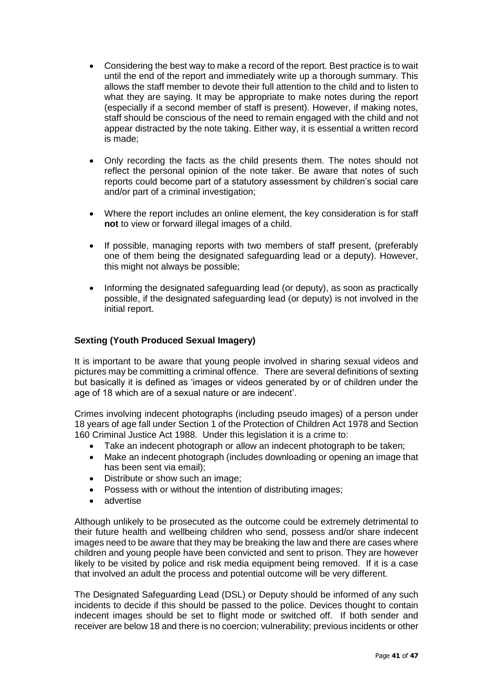- Considering the best way to make a record of the report. Best practice is to wait until the end of the report and immediately write up a thorough summary. This allows the staff member to devote their full attention to the child and to listen to what they are saying. It may be appropriate to make notes during the report (especially if a second member of staff is present). However, if making notes, staff should be conscious of the need to remain engaged with the child and not appear distracted by the note taking. Either way, it is essential a written record is made;
- Only recording the facts as the child presents them. The notes should not reflect the personal opinion of the note taker. Be aware that notes of such reports could become part of a statutory assessment by children's social care and/or part of a criminal investigation;
- Where the report includes an online element, the key consideration is for staff **not** to view or forward illegal images of a child.
- If possible, managing reports with two members of staff present, (preferably one of them being the designated safeguarding lead or a deputy). However, this might not always be possible;
- Informing the designated safeguarding lead (or deputy), as soon as practically possible, if the designated safeguarding lead (or deputy) is not involved in the initial report.

#### **Sexting (Youth Produced Sexual Imagery)**

It is important to be aware that young people involved in sharing sexual videos and pictures may be committing a criminal offence. There are several definitions of sexting but basically it is defined as 'images or videos generated by or of children under the age of 18 which are of a sexual nature or are indecent'.

Crimes involving indecent photographs (including pseudo images) of a person under 18 years of age fall under Section 1 of the Protection of Children Act 1978 and Section 160 Criminal Justice Act 1988. Under this legislation it is a crime to:

- Take an indecent photograph or allow an indecent photograph to be taken:
- Make an indecent photograph (includes downloading or opening an image that has been sent via email);
- Distribute or show such an image:
- Possess with or without the intention of distributing images;
- advertise

Although unlikely to be prosecuted as the outcome could be extremely detrimental to their future health and wellbeing children who send, possess and/or share indecent images need to be aware that they may be breaking the law and there are cases where children and young people have been convicted and sent to prison. They are however likely to be visited by police and risk media equipment being removed. If it is a case that involved an adult the process and potential outcome will be very different.

The Designated Safeguarding Lead (DSL) or Deputy should be informed of any such incidents to decide if this should be passed to the police. Devices thought to contain indecent images should be set to flight mode or switched off. If both sender and receiver are below 18 and there is no coercion; vulnerability; previous incidents or other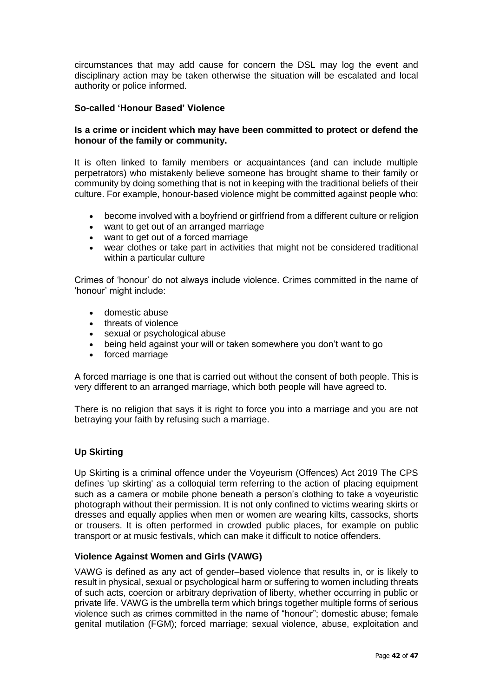circumstances that may add cause for concern the DSL may log the event and disciplinary action may be taken otherwise the situation will be escalated and local authority or police informed.

### **So-called 'Honour Based' Violence**

#### **Is a crime or incident which may have been committed to protect or defend the honour of the family or community.**

It is often linked to family members or acquaintances (and can include multiple perpetrators) who mistakenly believe someone has brought shame to their family or community by doing something that is not in keeping with the traditional beliefs of their culture. For example, honour-based violence might be committed against people who:

- become involved with a bovfriend or girlfriend from a different culture or religion
- want to get out of an arranged marriage
- want to get out of a forced marriage
- wear clothes or take part in activities that might not be considered traditional within a particular culture

Crimes of 'honour' do not always include violence. Crimes committed in the name of 'honour' might include:

- domestic abuse
- threats of violence
- sexual or psychological abuse
- being held against your will or taken somewhere you don't want to go
- forced marriage

A forced marriage is one that is carried out without the consent of both people. This is very different to an arranged marriage, which both people will have agreed to.

There is no religion that says it is right to force you into a marriage and you are not betraying your faith by refusing such a marriage.

#### **Up Skirting**

Up Skirting is a criminal offence under the Voyeurism (Offences) Act 2019 The CPS defines 'up skirting' as a colloquial term referring to the action of placing equipment such as a camera or mobile phone beneath a person's clothing to take a voyeuristic photograph without their permission. It is not only confined to victims wearing skirts or dresses and equally applies when men or women are wearing kilts, cassocks, shorts or trousers. It is often performed in crowded public places, for example on public transport or at music festivals, which can make it difficult to notice offenders.

#### **Violence Against Women and Girls (VAWG)**

VAWG is defined as any act of gender–based violence that results in, or is likely to result in physical, sexual or psychological harm or suffering to women including threats of such acts, coercion or arbitrary deprivation of liberty, whether occurring in public or private life. VAWG is the umbrella term which brings together multiple forms of serious violence such as crimes committed in the name of "honour"; domestic abuse; female genital mutilation (FGM); forced marriage; sexual violence, abuse, exploitation and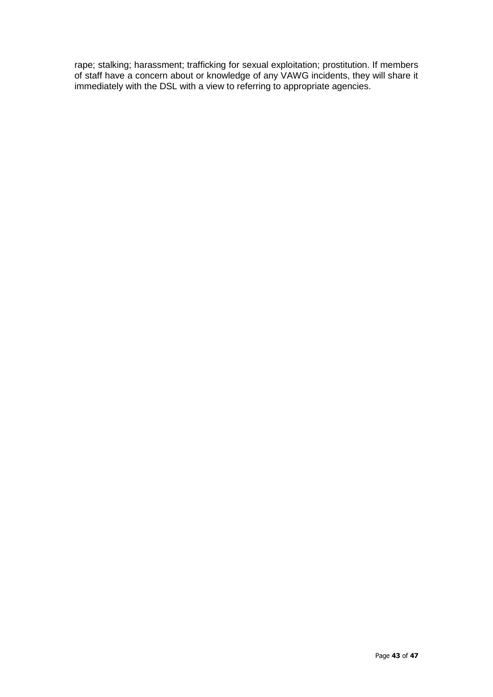rape; stalking; harassment; trafficking for sexual exploitation; prostitution. If members of staff have a concern about or knowledge of any VAWG incidents, they will share it immediately with the DSL with a view to referring to appropriate agencies.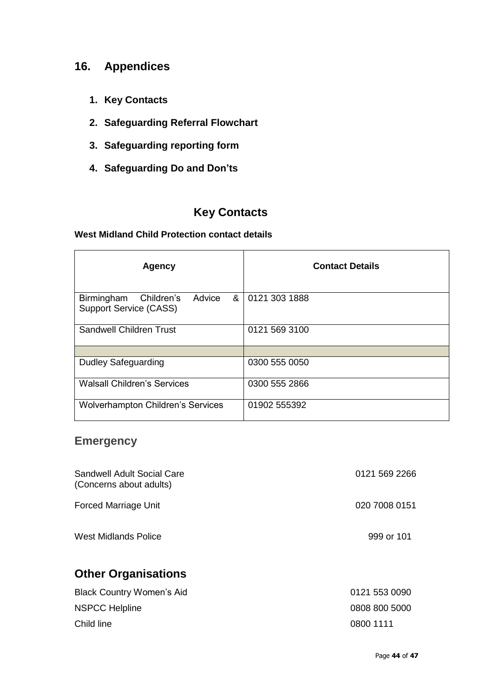## **16. Appendices**

- **1. Key Contacts**
- **2. Safeguarding Referral Flowchart**
- **3. Safeguarding reporting form**
- **4. Safeguarding Do and Don'ts**

## **Key Contacts**

#### **West Midland Child Protection contact details**

| <b>Agency</b>                                                            | <b>Contact Details</b> |
|--------------------------------------------------------------------------|------------------------|
| Advice<br>&<br>Birmingham<br>Children's<br><b>Support Service (CASS)</b> | 0121 303 1888          |
| <b>Sandwell Children Trust</b>                                           | 0121 569 3100          |
|                                                                          |                        |
| <b>Dudley Safeguarding</b>                                               | 0300 555 0050          |
| <b>Walsall Children's Services</b>                                       | 0300 555 2866          |
| <b>Wolverhampton Children's Services</b>                                 | 01902 555392           |

## **Emergency**

| Sandwell Adult Social Care<br>(Concerns about adults) | 0121 569 2266 |
|-------------------------------------------------------|---------------|
| <b>Forced Marriage Unit</b>                           | 020 7008 0151 |
| <b>West Midlands Police</b>                           | 999 or 101    |
| <b>Other Organisations</b>                            |               |
| <b>Black Country Women's Aid</b>                      | 0121 553 0090 |
| <b>NSPCC Helpline</b>                                 | 0808 800 5000 |
| Child line                                            | 0800 1111     |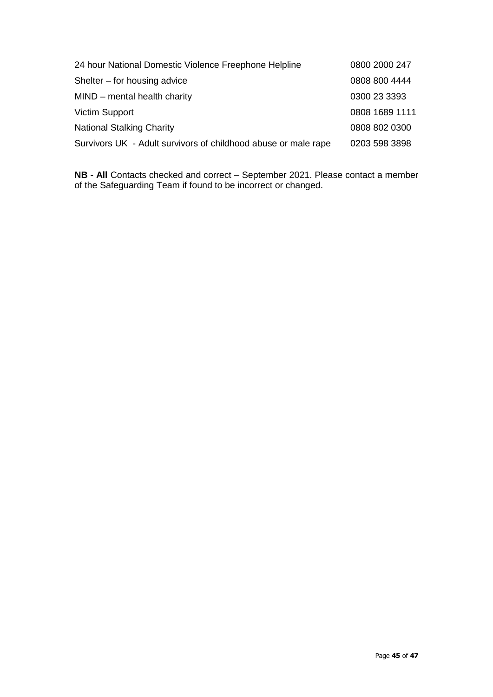| 24 hour National Domestic Violence Freephone Helpline          | 0800 2000 247  |
|----------------------------------------------------------------|----------------|
| Shelter – for housing advice                                   | 0808 800 4444  |
| MIND - mental health charity                                   | 0300 23 3393   |
| <b>Victim Support</b>                                          | 0808 1689 1111 |
| <b>National Stalking Charity</b>                               | 0808 802 0300  |
| Survivors UK - Adult survivors of childhood abuse or male rape | 0203 598 3898  |

**NB - All** Contacts checked and correct – September 2021. Please contact a member of the Safeguarding Team if found to be incorrect or changed.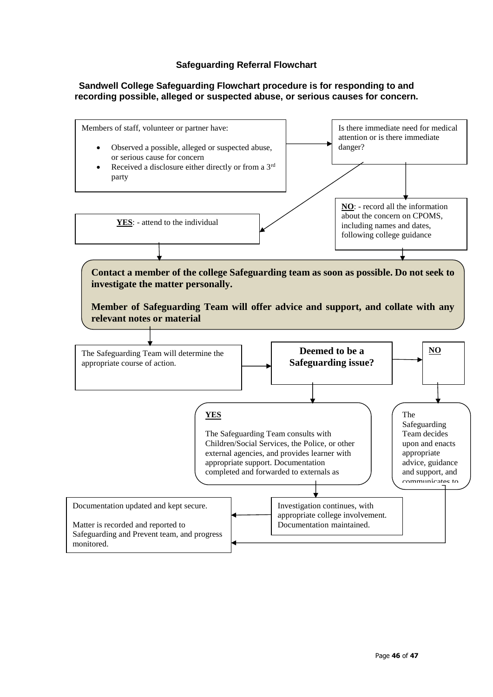#### **Safeguarding Referral Flowchart**

#### **Sandwell College Safeguarding Flowchart procedure is for responding to and recording possible, alleged or suspected abuse, or serious causes for concern.**